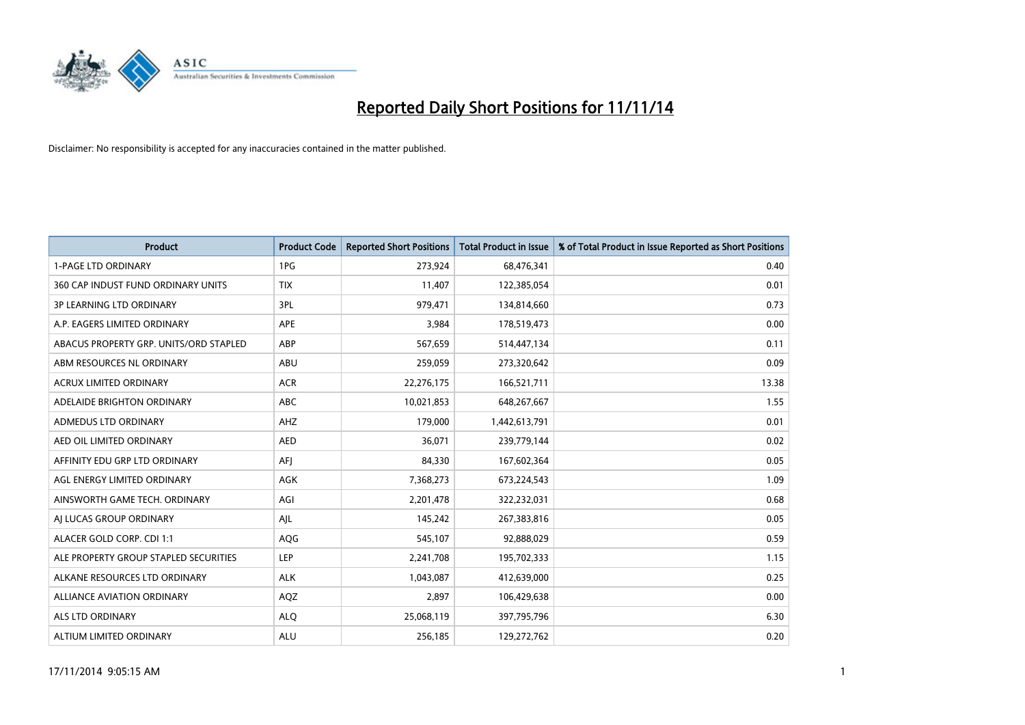

| <b>Product</b>                         | <b>Product Code</b> | <b>Reported Short Positions</b> | <b>Total Product in Issue</b> | % of Total Product in Issue Reported as Short Positions |
|----------------------------------------|---------------------|---------------------------------|-------------------------------|---------------------------------------------------------|
| <b>1-PAGE LTD ORDINARY</b>             | 1PG                 | 273,924                         | 68,476,341                    | 0.40                                                    |
| 360 CAP INDUST FUND ORDINARY UNITS     | <b>TIX</b>          | 11,407                          | 122,385,054                   | 0.01                                                    |
| <b>3P LEARNING LTD ORDINARY</b>        | 3PL                 | 979,471                         | 134,814,660                   | 0.73                                                    |
| A.P. EAGERS LIMITED ORDINARY           | <b>APE</b>          | 3,984                           | 178,519,473                   | 0.00                                                    |
| ABACUS PROPERTY GRP. UNITS/ORD STAPLED | ABP                 | 567,659                         | 514,447,134                   | 0.11                                                    |
| ABM RESOURCES NL ORDINARY              | ABU                 | 259,059                         | 273,320,642                   | 0.09                                                    |
| <b>ACRUX LIMITED ORDINARY</b>          | <b>ACR</b>          | 22,276,175                      | 166,521,711                   | 13.38                                                   |
| ADELAIDE BRIGHTON ORDINARY             | <b>ABC</b>          | 10,021,853                      | 648,267,667                   | 1.55                                                    |
| ADMEDUS LTD ORDINARY                   | AHZ                 | 179,000                         | 1,442,613,791                 | 0.01                                                    |
| AED OIL LIMITED ORDINARY               | <b>AED</b>          | 36,071                          | 239,779,144                   | 0.02                                                    |
| AFFINITY EDU GRP LTD ORDINARY          | AFI                 | 84,330                          | 167,602,364                   | 0.05                                                    |
| AGL ENERGY LIMITED ORDINARY            | AGK                 | 7,368,273                       | 673,224,543                   | 1.09                                                    |
| AINSWORTH GAME TECH. ORDINARY          | AGI                 | 2,201,478                       | 322,232,031                   | 0.68                                                    |
| AI LUCAS GROUP ORDINARY                | AJL                 | 145,242                         | 267,383,816                   | 0.05                                                    |
| ALACER GOLD CORP. CDI 1:1              | AQG                 | 545,107                         | 92,888,029                    | 0.59                                                    |
| ALE PROPERTY GROUP STAPLED SECURITIES  | <b>LEP</b>          | 2,241,708                       | 195,702,333                   | 1.15                                                    |
| ALKANE RESOURCES LTD ORDINARY          | <b>ALK</b>          | 1,043,087                       | 412,639,000                   | 0.25                                                    |
| ALLIANCE AVIATION ORDINARY             | AQZ                 | 2,897                           | 106,429,638                   | 0.00                                                    |
| ALS LTD ORDINARY                       | <b>ALO</b>          | 25,068,119                      | 397,795,796                   | 6.30                                                    |
| ALTIUM LIMITED ORDINARY                | <b>ALU</b>          | 256,185                         | 129,272,762                   | 0.20                                                    |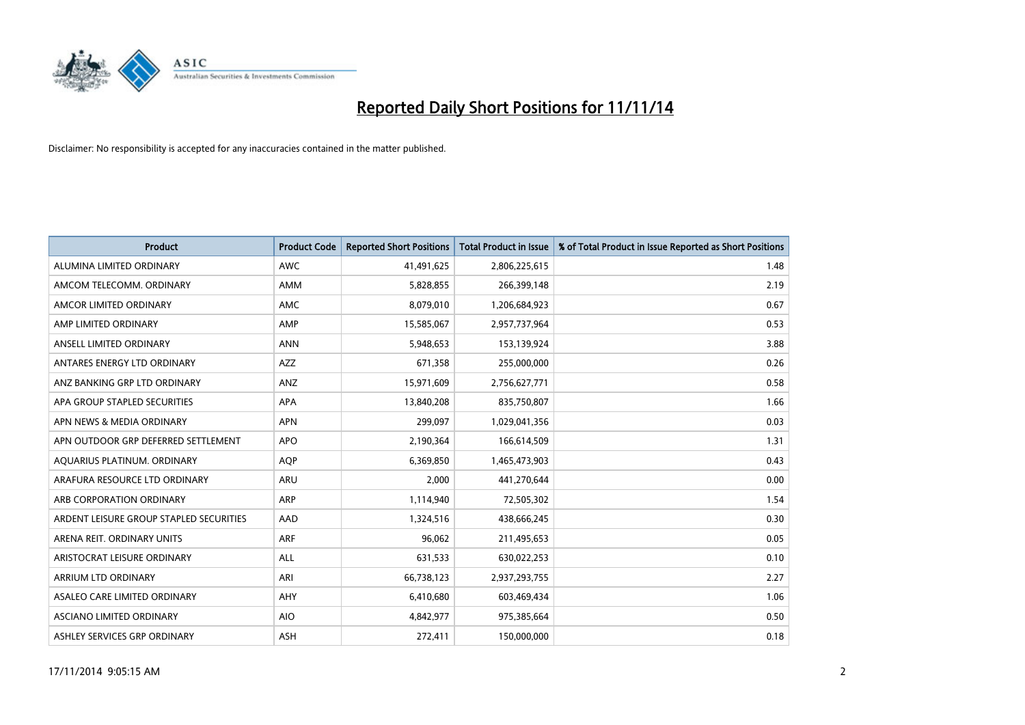

| <b>Product</b>                          | <b>Product Code</b> | <b>Reported Short Positions</b> | <b>Total Product in Issue</b> | % of Total Product in Issue Reported as Short Positions |
|-----------------------------------------|---------------------|---------------------------------|-------------------------------|---------------------------------------------------------|
| ALUMINA LIMITED ORDINARY                | <b>AWC</b>          | 41,491,625                      | 2,806,225,615                 | 1.48                                                    |
| AMCOM TELECOMM. ORDINARY                | AMM                 | 5,828,855                       | 266,399,148                   | 2.19                                                    |
| AMCOR LIMITED ORDINARY                  | AMC                 | 8,079,010                       | 1,206,684,923                 | 0.67                                                    |
| AMP LIMITED ORDINARY                    | AMP                 | 15,585,067                      | 2,957,737,964                 | 0.53                                                    |
| ANSELL LIMITED ORDINARY                 | <b>ANN</b>          | 5,948,653                       | 153,139,924                   | 3.88                                                    |
| ANTARES ENERGY LTD ORDINARY             | <b>AZZ</b>          | 671,358                         | 255,000,000                   | 0.26                                                    |
| ANZ BANKING GRP LTD ORDINARY            | ANZ                 | 15,971,609                      | 2,756,627,771                 | 0.58                                                    |
| APA GROUP STAPLED SECURITIES            | APA                 | 13,840,208                      | 835,750,807                   | 1.66                                                    |
| APN NEWS & MEDIA ORDINARY               | <b>APN</b>          | 299,097                         | 1,029,041,356                 | 0.03                                                    |
| APN OUTDOOR GRP DEFERRED SETTLEMENT     | <b>APO</b>          | 2,190,364                       | 166,614,509                   | 1.31                                                    |
| AQUARIUS PLATINUM. ORDINARY             | AQP                 | 6,369,850                       | 1,465,473,903                 | 0.43                                                    |
| ARAFURA RESOURCE LTD ORDINARY           | ARU                 | 2,000                           | 441,270,644                   | 0.00                                                    |
| ARB CORPORATION ORDINARY                | <b>ARP</b>          | 1,114,940                       | 72,505,302                    | 1.54                                                    |
| ARDENT LEISURE GROUP STAPLED SECURITIES | AAD                 | 1,324,516                       | 438,666,245                   | 0.30                                                    |
| ARENA REIT. ORDINARY UNITS              | <b>ARF</b>          | 96,062                          | 211,495,653                   | 0.05                                                    |
| ARISTOCRAT LEISURE ORDINARY             | ALL                 | 631,533                         | 630,022,253                   | 0.10                                                    |
| ARRIUM LTD ORDINARY                     | ARI                 | 66,738,123                      | 2,937,293,755                 | 2.27                                                    |
| ASALEO CARE LIMITED ORDINARY            | AHY                 | 6,410,680                       | 603,469,434                   | 1.06                                                    |
| ASCIANO LIMITED ORDINARY                | <b>AIO</b>          | 4,842,977                       | 975,385,664                   | 0.50                                                    |
| ASHLEY SERVICES GRP ORDINARY            | ASH                 | 272,411                         | 150,000,000                   | 0.18                                                    |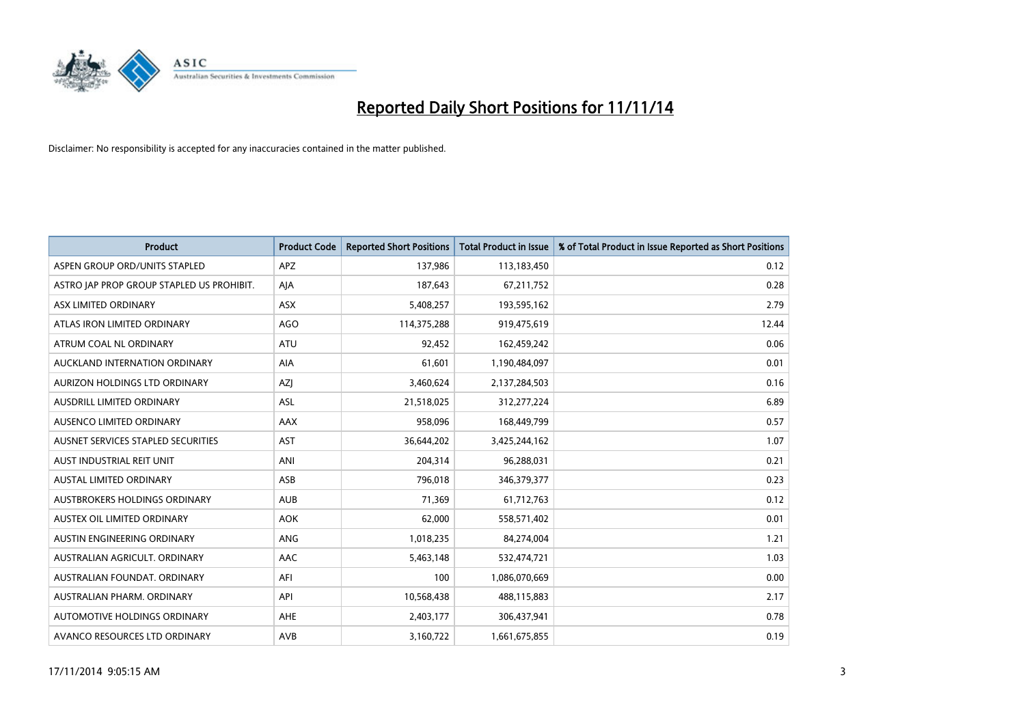

| <b>Product</b>                            | <b>Product Code</b> | <b>Reported Short Positions</b> | <b>Total Product in Issue</b> | % of Total Product in Issue Reported as Short Positions |
|-------------------------------------------|---------------------|---------------------------------|-------------------------------|---------------------------------------------------------|
| ASPEN GROUP ORD/UNITS STAPLED             | <b>APZ</b>          | 137,986                         | 113,183,450                   | 0.12                                                    |
| ASTRO JAP PROP GROUP STAPLED US PROHIBIT. | AJA                 | 187,643                         | 67,211,752                    | 0.28                                                    |
| ASX LIMITED ORDINARY                      | ASX                 | 5,408,257                       | 193,595,162                   | 2.79                                                    |
| ATLAS IRON LIMITED ORDINARY               | AGO                 | 114,375,288                     | 919,475,619                   | 12.44                                                   |
| ATRUM COAL NL ORDINARY                    | <b>ATU</b>          | 92,452                          | 162,459,242                   | 0.06                                                    |
| AUCKLAND INTERNATION ORDINARY             | <b>AIA</b>          | 61,601                          | 1,190,484,097                 | 0.01                                                    |
| AURIZON HOLDINGS LTD ORDINARY             | AZJ                 | 3,460,624                       | 2,137,284,503                 | 0.16                                                    |
| AUSDRILL LIMITED ORDINARY                 | ASL                 | 21,518,025                      | 312,277,224                   | 6.89                                                    |
| AUSENCO LIMITED ORDINARY                  | AAX                 | 958,096                         | 168,449,799                   | 0.57                                                    |
| AUSNET SERVICES STAPLED SECURITIES        | <b>AST</b>          | 36,644,202                      | 3,425,244,162                 | 1.07                                                    |
| AUST INDUSTRIAL REIT UNIT                 | ANI                 | 204,314                         | 96,288,031                    | 0.21                                                    |
| AUSTAL LIMITED ORDINARY                   | ASB                 | 796,018                         | 346,379,377                   | 0.23                                                    |
| AUSTBROKERS HOLDINGS ORDINARY             | <b>AUB</b>          | 71,369                          | 61,712,763                    | 0.12                                                    |
| AUSTEX OIL LIMITED ORDINARY               | <b>AOK</b>          | 62,000                          | 558,571,402                   | 0.01                                                    |
| AUSTIN ENGINEERING ORDINARY               | ANG                 | 1,018,235                       | 84,274,004                    | 1.21                                                    |
| AUSTRALIAN AGRICULT. ORDINARY             | AAC                 | 5,463,148                       | 532,474,721                   | 1.03                                                    |
| AUSTRALIAN FOUNDAT. ORDINARY              | AFI                 | 100                             | 1,086,070,669                 | 0.00                                                    |
| AUSTRALIAN PHARM, ORDINARY                | API                 | 10,568,438                      | 488,115,883                   | 2.17                                                    |
| AUTOMOTIVE HOLDINGS ORDINARY              | AHE                 | 2,403,177                       | 306,437,941                   | 0.78                                                    |
| AVANCO RESOURCES LTD ORDINARY             | AVB                 | 3,160,722                       | 1,661,675,855                 | 0.19                                                    |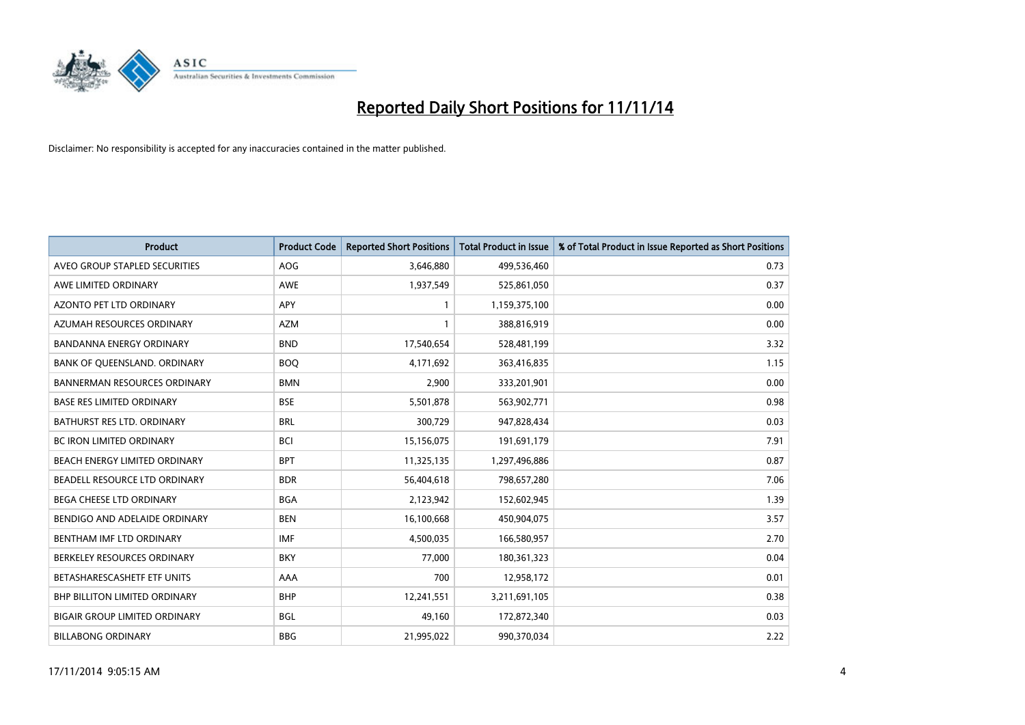

| <b>Product</b>                       | <b>Product Code</b> | <b>Reported Short Positions</b> | <b>Total Product in Issue</b> | % of Total Product in Issue Reported as Short Positions |
|--------------------------------------|---------------------|---------------------------------|-------------------------------|---------------------------------------------------------|
| AVEO GROUP STAPLED SECURITIES        | <b>AOG</b>          | 3,646,880                       | 499,536,460                   | 0.73                                                    |
| AWE LIMITED ORDINARY                 | AWE                 | 1,937,549                       | 525,861,050                   | 0.37                                                    |
| AZONTO PET LTD ORDINARY              | APY                 | $\mathbf{1}$                    | 1,159,375,100                 | 0.00                                                    |
| AZUMAH RESOURCES ORDINARY            | <b>AZM</b>          | $\mathbf{1}$                    | 388,816,919                   | 0.00                                                    |
| <b>BANDANNA ENERGY ORDINARY</b>      | <b>BND</b>          | 17,540,654                      | 528,481,199                   | 3.32                                                    |
| BANK OF QUEENSLAND. ORDINARY         | <b>BOO</b>          | 4,171,692                       | 363,416,835                   | 1.15                                                    |
| <b>BANNERMAN RESOURCES ORDINARY</b>  | <b>BMN</b>          | 2,900                           | 333,201,901                   | 0.00                                                    |
| <b>BASE RES LIMITED ORDINARY</b>     | <b>BSE</b>          | 5,501,878                       | 563,902,771                   | 0.98                                                    |
| BATHURST RES LTD. ORDINARY           | <b>BRL</b>          | 300,729                         | 947,828,434                   | 0.03                                                    |
| <b>BC IRON LIMITED ORDINARY</b>      | <b>BCI</b>          | 15,156,075                      | 191,691,179                   | 7.91                                                    |
| BEACH ENERGY LIMITED ORDINARY        | <b>BPT</b>          | 11,325,135                      | 1,297,496,886                 | 0.87                                                    |
| BEADELL RESOURCE LTD ORDINARY        | <b>BDR</b>          | 56,404,618                      | 798,657,280                   | 7.06                                                    |
| BEGA CHEESE LTD ORDINARY             | <b>BGA</b>          | 2,123,942                       | 152,602,945                   | 1.39                                                    |
| BENDIGO AND ADELAIDE ORDINARY        | <b>BEN</b>          | 16,100,668                      | 450,904,075                   | 3.57                                                    |
| BENTHAM IMF LTD ORDINARY             | <b>IMF</b>          | 4,500,035                       | 166,580,957                   | 2.70                                                    |
| BERKELEY RESOURCES ORDINARY          | <b>BKY</b>          | 77,000                          | 180,361,323                   | 0.04                                                    |
| BETASHARESCASHETF ETF UNITS          | AAA                 | 700                             | 12,958,172                    | 0.01                                                    |
| <b>BHP BILLITON LIMITED ORDINARY</b> | <b>BHP</b>          | 12,241,551                      | 3,211,691,105                 | 0.38                                                    |
| <b>BIGAIR GROUP LIMITED ORDINARY</b> | <b>BGL</b>          | 49,160                          | 172,872,340                   | 0.03                                                    |
| <b>BILLABONG ORDINARY</b>            | <b>BBG</b>          | 21,995,022                      | 990,370,034                   | 2.22                                                    |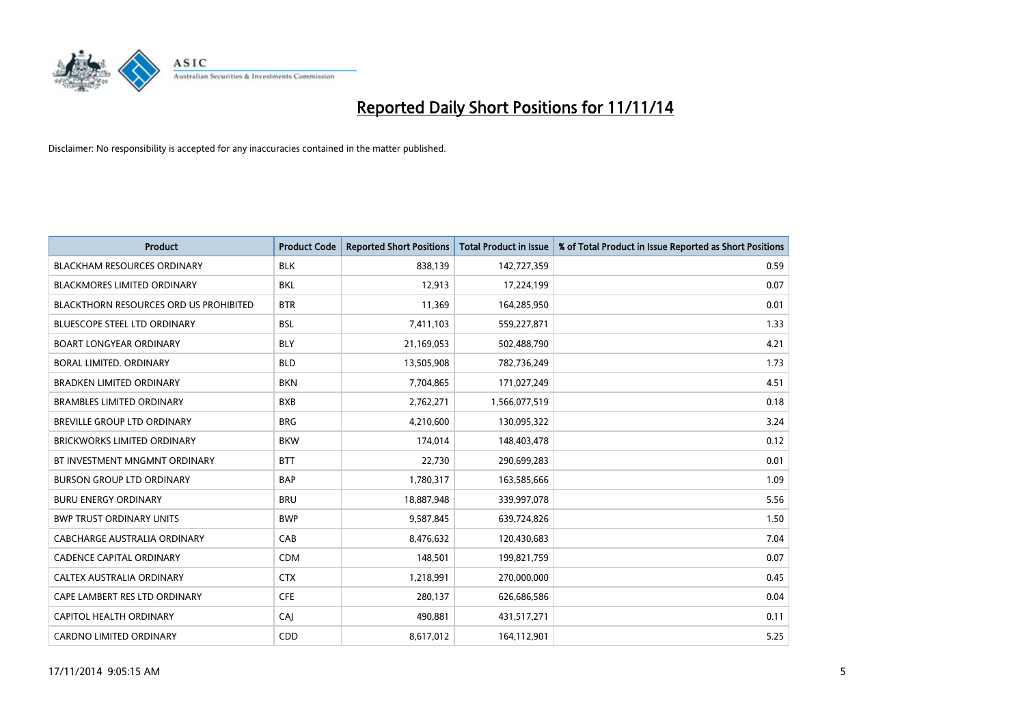

| <b>Product</b>                                | <b>Product Code</b> | <b>Reported Short Positions</b> | <b>Total Product in Issue</b> | % of Total Product in Issue Reported as Short Positions |
|-----------------------------------------------|---------------------|---------------------------------|-------------------------------|---------------------------------------------------------|
| <b>BLACKHAM RESOURCES ORDINARY</b>            | <b>BLK</b>          | 838,139                         | 142,727,359                   | 0.59                                                    |
| BLACKMORES LIMITED ORDINARY                   | BKL                 | 12,913                          | 17,224,199                    | 0.07                                                    |
| <b>BLACKTHORN RESOURCES ORD US PROHIBITED</b> | <b>BTR</b>          | 11,369                          | 164,285,950                   | 0.01                                                    |
| BLUESCOPE STEEL LTD ORDINARY                  | <b>BSL</b>          | 7,411,103                       | 559,227,871                   | 1.33                                                    |
| <b>BOART LONGYEAR ORDINARY</b>                | <b>BLY</b>          | 21,169,053                      | 502,488,790                   | 4.21                                                    |
| <b>BORAL LIMITED, ORDINARY</b>                | <b>BLD</b>          | 13,505,908                      | 782,736,249                   | 1.73                                                    |
| <b>BRADKEN LIMITED ORDINARY</b>               | <b>BKN</b>          | 7,704,865                       | 171,027,249                   | 4.51                                                    |
| <b>BRAMBLES LIMITED ORDINARY</b>              | <b>BXB</b>          | 2,762,271                       | 1,566,077,519                 | 0.18                                                    |
| <b>BREVILLE GROUP LTD ORDINARY</b>            | <b>BRG</b>          | 4,210,600                       | 130,095,322                   | 3.24                                                    |
| <b>BRICKWORKS LIMITED ORDINARY</b>            | <b>BKW</b>          | 174,014                         | 148,403,478                   | 0.12                                                    |
| BT INVESTMENT MNGMNT ORDINARY                 | <b>BTT</b>          | 22,730                          | 290,699,283                   | 0.01                                                    |
| <b>BURSON GROUP LTD ORDINARY</b>              | <b>BAP</b>          | 1,780,317                       | 163,585,666                   | 1.09                                                    |
| <b>BURU ENERGY ORDINARY</b>                   | <b>BRU</b>          | 18,887,948                      | 339,997,078                   | 5.56                                                    |
| <b>BWP TRUST ORDINARY UNITS</b>               | <b>BWP</b>          | 9,587,845                       | 639,724,826                   | 1.50                                                    |
| CABCHARGE AUSTRALIA ORDINARY                  | CAB                 | 8,476,632                       | 120,430,683                   | 7.04                                                    |
| <b>CADENCE CAPITAL ORDINARY</b>               | <b>CDM</b>          | 148,501                         | 199,821,759                   | 0.07                                                    |
| CALTEX AUSTRALIA ORDINARY                     | <b>CTX</b>          | 1,218,991                       | 270,000,000                   | 0.45                                                    |
| CAPE LAMBERT RES LTD ORDINARY                 | <b>CFE</b>          | 280,137                         | 626,686,586                   | 0.04                                                    |
| CAPITOL HEALTH ORDINARY                       | CAI                 | 490,881                         | 431,517,271                   | 0.11                                                    |
| <b>CARDNO LIMITED ORDINARY</b>                | CDD                 | 8,617,012                       | 164,112,901                   | 5.25                                                    |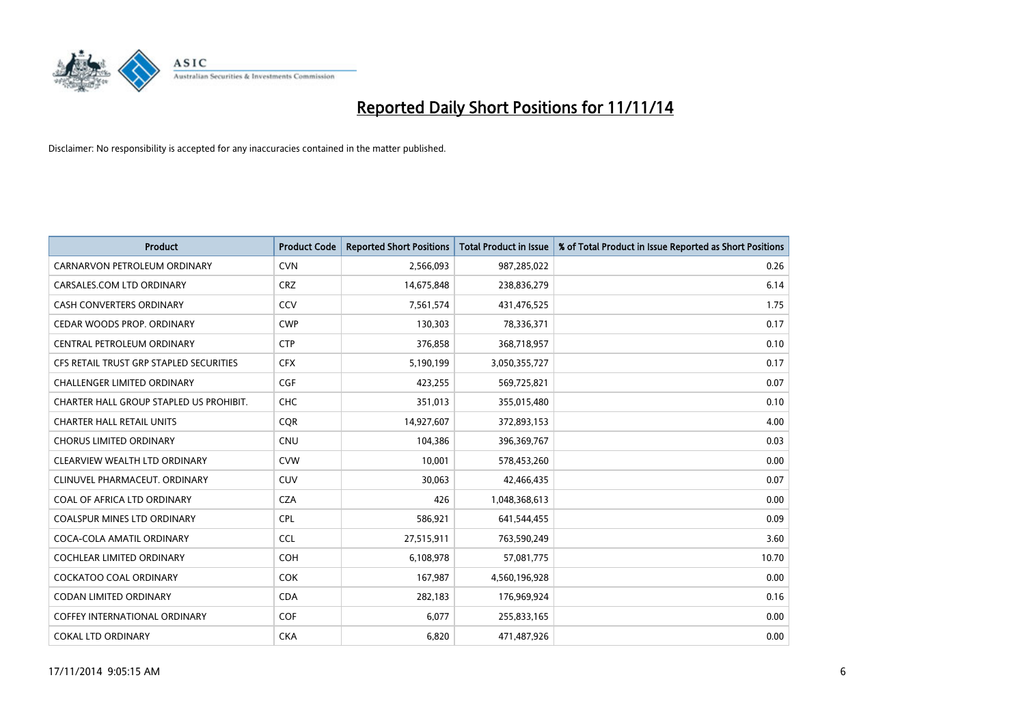

| <b>Product</b>                          | <b>Product Code</b> | <b>Reported Short Positions</b> | <b>Total Product in Issue</b> | % of Total Product in Issue Reported as Short Positions |
|-----------------------------------------|---------------------|---------------------------------|-------------------------------|---------------------------------------------------------|
| CARNARVON PETROLEUM ORDINARY            | <b>CVN</b>          | 2,566,093                       | 987,285,022                   | 0.26                                                    |
| CARSALES.COM LTD ORDINARY               | <b>CRZ</b>          | 14,675,848                      | 238,836,279                   | 6.14                                                    |
| CASH CONVERTERS ORDINARY                | CCV                 | 7,561,574                       | 431,476,525                   | 1.75                                                    |
| CEDAR WOODS PROP. ORDINARY              | <b>CWP</b>          | 130,303                         | 78,336,371                    | 0.17                                                    |
| CENTRAL PETROLEUM ORDINARY              | <b>CTP</b>          | 376,858                         | 368,718,957                   | 0.10                                                    |
| CFS RETAIL TRUST GRP STAPLED SECURITIES | <b>CFX</b>          | 5,190,199                       | 3,050,355,727                 | 0.17                                                    |
| <b>CHALLENGER LIMITED ORDINARY</b>      | <b>CGF</b>          | 423,255                         | 569,725,821                   | 0.07                                                    |
| CHARTER HALL GROUP STAPLED US PROHIBIT. | <b>CHC</b>          | 351,013                         | 355,015,480                   | 0.10                                                    |
| <b>CHARTER HALL RETAIL UNITS</b>        | <b>COR</b>          | 14,927,607                      | 372,893,153                   | 4.00                                                    |
| <b>CHORUS LIMITED ORDINARY</b>          | <b>CNU</b>          | 104,386                         | 396,369,767                   | 0.03                                                    |
| CLEARVIEW WEALTH LTD ORDINARY           | <b>CVW</b>          | 10,001                          | 578,453,260                   | 0.00                                                    |
| CLINUVEL PHARMACEUT. ORDINARY           | <b>CUV</b>          | 30,063                          | 42,466,435                    | 0.07                                                    |
| COAL OF AFRICA LTD ORDINARY             | <b>CZA</b>          | 426                             | 1,048,368,613                 | 0.00                                                    |
| COALSPUR MINES LTD ORDINARY             | <b>CPL</b>          | 586,921                         | 641,544,455                   | 0.09                                                    |
| COCA-COLA AMATIL ORDINARY               | <b>CCL</b>          | 27,515,911                      | 763,590,249                   | 3.60                                                    |
| <b>COCHLEAR LIMITED ORDINARY</b>        | <b>COH</b>          | 6,108,978                       | 57,081,775                    | 10.70                                                   |
| <b>COCKATOO COAL ORDINARY</b>           | COK                 | 167,987                         | 4,560,196,928                 | 0.00                                                    |
| <b>CODAN LIMITED ORDINARY</b>           | <b>CDA</b>          | 282,183                         | 176,969,924                   | 0.16                                                    |
| <b>COFFEY INTERNATIONAL ORDINARY</b>    | <b>COF</b>          | 6,077                           | 255,833,165                   | 0.00                                                    |
| <b>COKAL LTD ORDINARY</b>               | <b>CKA</b>          | 6,820                           | 471,487,926                   | 0.00                                                    |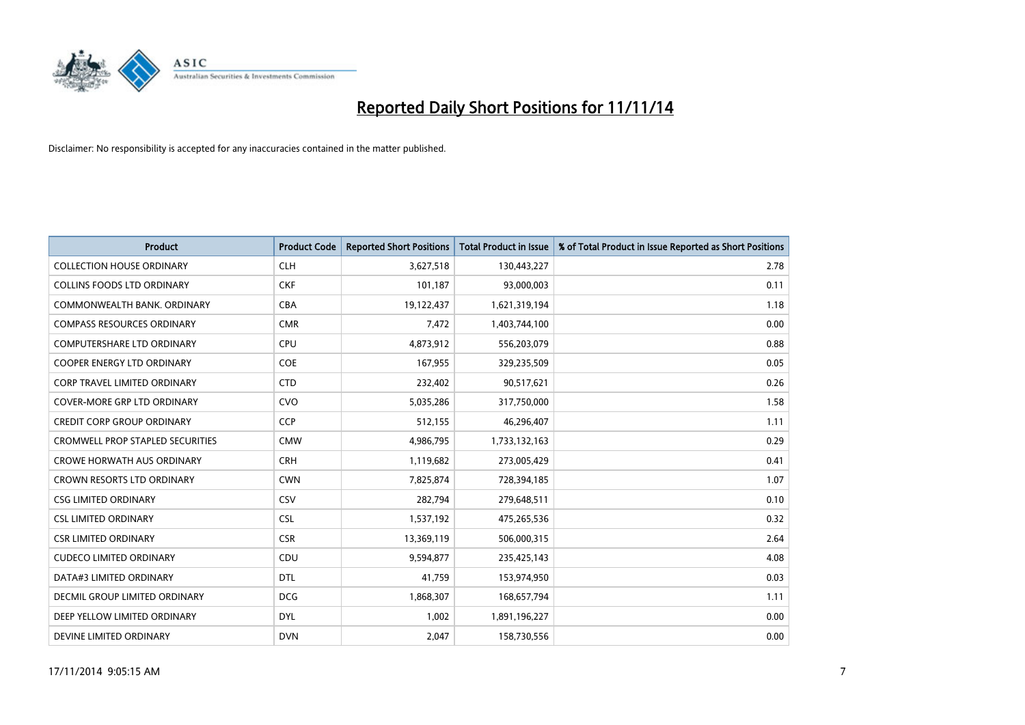

| <b>Product</b>                          | <b>Product Code</b> | <b>Reported Short Positions</b> | <b>Total Product in Issue</b> | % of Total Product in Issue Reported as Short Positions |
|-----------------------------------------|---------------------|---------------------------------|-------------------------------|---------------------------------------------------------|
| <b>COLLECTION HOUSE ORDINARY</b>        | <b>CLH</b>          | 3,627,518                       | 130,443,227                   | 2.78                                                    |
| <b>COLLINS FOODS LTD ORDINARY</b>       | <b>CKF</b>          | 101,187                         | 93,000,003                    | 0.11                                                    |
| COMMONWEALTH BANK, ORDINARY             | <b>CBA</b>          | 19,122,437                      | 1,621,319,194                 | 1.18                                                    |
| <b>COMPASS RESOURCES ORDINARY</b>       | <b>CMR</b>          | 7,472                           | 1,403,744,100                 | 0.00                                                    |
| <b>COMPUTERSHARE LTD ORDINARY</b>       | <b>CPU</b>          | 4,873,912                       | 556,203,079                   | 0.88                                                    |
| <b>COOPER ENERGY LTD ORDINARY</b>       | <b>COE</b>          | 167,955                         | 329,235,509                   | 0.05                                                    |
| <b>CORP TRAVEL LIMITED ORDINARY</b>     | <b>CTD</b>          | 232,402                         | 90,517,621                    | 0.26                                                    |
| COVER-MORE GRP LTD ORDINARY             | <b>CVO</b>          | 5,035,286                       | 317,750,000                   | 1.58                                                    |
| <b>CREDIT CORP GROUP ORDINARY</b>       | CCP                 | 512,155                         | 46,296,407                    | 1.11                                                    |
| <b>CROMWELL PROP STAPLED SECURITIES</b> | <b>CMW</b>          | 4,986,795                       | 1,733,132,163                 | 0.29                                                    |
| <b>CROWE HORWATH AUS ORDINARY</b>       | <b>CRH</b>          | 1,119,682                       | 273,005,429                   | 0.41                                                    |
| <b>CROWN RESORTS LTD ORDINARY</b>       | <b>CWN</b>          | 7,825,874                       | 728,394,185                   | 1.07                                                    |
| <b>CSG LIMITED ORDINARY</b>             | <b>CSV</b>          | 282,794                         | 279,648,511                   | 0.10                                                    |
| <b>CSL LIMITED ORDINARY</b>             | <b>CSL</b>          | 1,537,192                       | 475,265,536                   | 0.32                                                    |
| <b>CSR LIMITED ORDINARY</b>             | <b>CSR</b>          | 13,369,119                      | 506,000,315                   | 2.64                                                    |
| <b>CUDECO LIMITED ORDINARY</b>          | CDU                 | 9,594,877                       | 235,425,143                   | 4.08                                                    |
| DATA#3 LIMITED ORDINARY                 | DTL                 | 41,759                          | 153,974,950                   | 0.03                                                    |
| DECMIL GROUP LIMITED ORDINARY           | <b>DCG</b>          | 1,868,307                       | 168,657,794                   | 1.11                                                    |
| DEEP YELLOW LIMITED ORDINARY            | <b>DYL</b>          | 1,002                           | 1,891,196,227                 | 0.00                                                    |
| DEVINE LIMITED ORDINARY                 | <b>DVN</b>          | 2,047                           | 158,730,556                   | 0.00                                                    |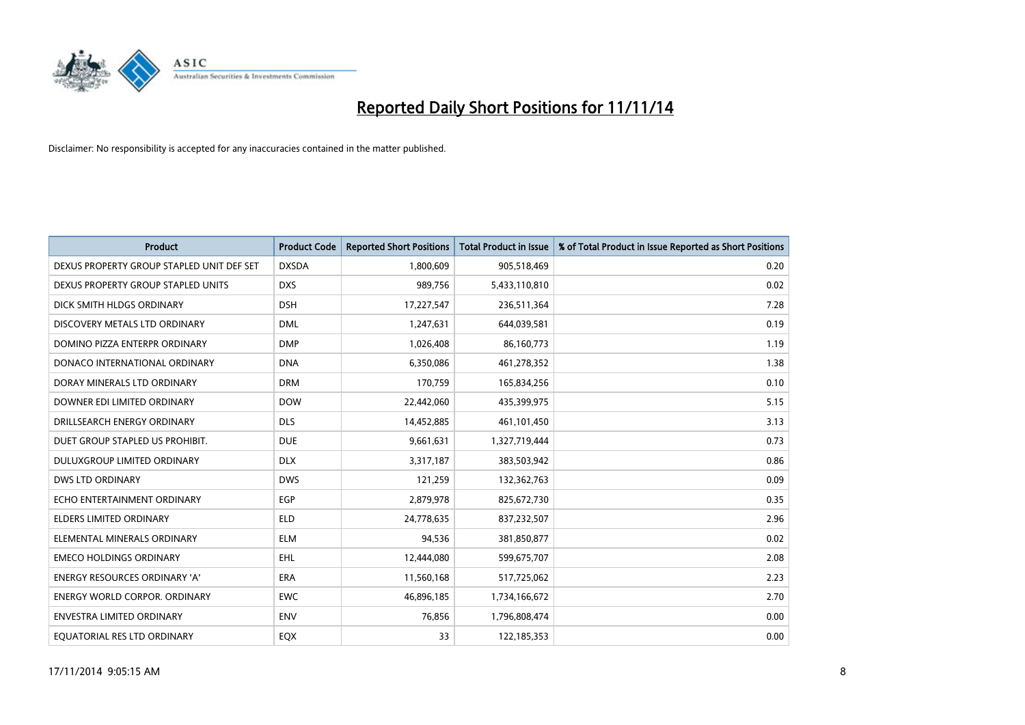

| <b>Product</b>                            | <b>Product Code</b> | <b>Reported Short Positions</b> | <b>Total Product in Issue</b> | % of Total Product in Issue Reported as Short Positions |
|-------------------------------------------|---------------------|---------------------------------|-------------------------------|---------------------------------------------------------|
| DEXUS PROPERTY GROUP STAPLED UNIT DEF SET | <b>DXSDA</b>        | 1,800,609                       | 905,518,469                   | 0.20                                                    |
| DEXUS PROPERTY GROUP STAPLED UNITS        | <b>DXS</b>          | 989,756                         | 5,433,110,810                 | 0.02                                                    |
| DICK SMITH HLDGS ORDINARY                 | <b>DSH</b>          | 17,227,547                      | 236,511,364                   | 7.28                                                    |
| DISCOVERY METALS LTD ORDINARY             | <b>DML</b>          | 1,247,631                       | 644,039,581                   | 0.19                                                    |
| DOMINO PIZZA ENTERPR ORDINARY             | <b>DMP</b>          | 1,026,408                       | 86,160,773                    | 1.19                                                    |
| DONACO INTERNATIONAL ORDINARY             | <b>DNA</b>          | 6,350,086                       | 461,278,352                   | 1.38                                                    |
| DORAY MINERALS LTD ORDINARY               | <b>DRM</b>          | 170,759                         | 165,834,256                   | 0.10                                                    |
| DOWNER EDI LIMITED ORDINARY               | <b>DOW</b>          | 22,442,060                      | 435,399,975                   | 5.15                                                    |
| DRILLSEARCH ENERGY ORDINARY               | <b>DLS</b>          | 14,452,885                      | 461,101,450                   | 3.13                                                    |
| DUET GROUP STAPLED US PROHIBIT.           | <b>DUE</b>          | 9,661,631                       | 1,327,719,444                 | 0.73                                                    |
| DULUXGROUP LIMITED ORDINARY               | <b>DLX</b>          | 3,317,187                       | 383,503,942                   | 0.86                                                    |
| <b>DWS LTD ORDINARY</b>                   | <b>DWS</b>          | 121,259                         | 132,362,763                   | 0.09                                                    |
| ECHO ENTERTAINMENT ORDINARY               | <b>EGP</b>          | 2,879,978                       | 825,672,730                   | 0.35                                                    |
| <b>ELDERS LIMITED ORDINARY</b>            | <b>ELD</b>          | 24,778,635                      | 837,232,507                   | 2.96                                                    |
| ELEMENTAL MINERALS ORDINARY               | <b>ELM</b>          | 94,536                          | 381,850,877                   | 0.02                                                    |
| <b>EMECO HOLDINGS ORDINARY</b>            | EHL                 | 12,444,080                      | 599,675,707                   | 2.08                                                    |
| ENERGY RESOURCES ORDINARY 'A'             | ERA                 | 11,560,168                      | 517,725,062                   | 2.23                                                    |
| <b>ENERGY WORLD CORPOR. ORDINARY</b>      | <b>EWC</b>          | 46,896,185                      | 1,734,166,672                 | 2.70                                                    |
| <b>ENVESTRA LIMITED ORDINARY</b>          | <b>ENV</b>          | 76,856                          | 1,796,808,474                 | 0.00                                                    |
| EQUATORIAL RES LTD ORDINARY               | EQX                 | 33                              | 122,185,353                   | 0.00                                                    |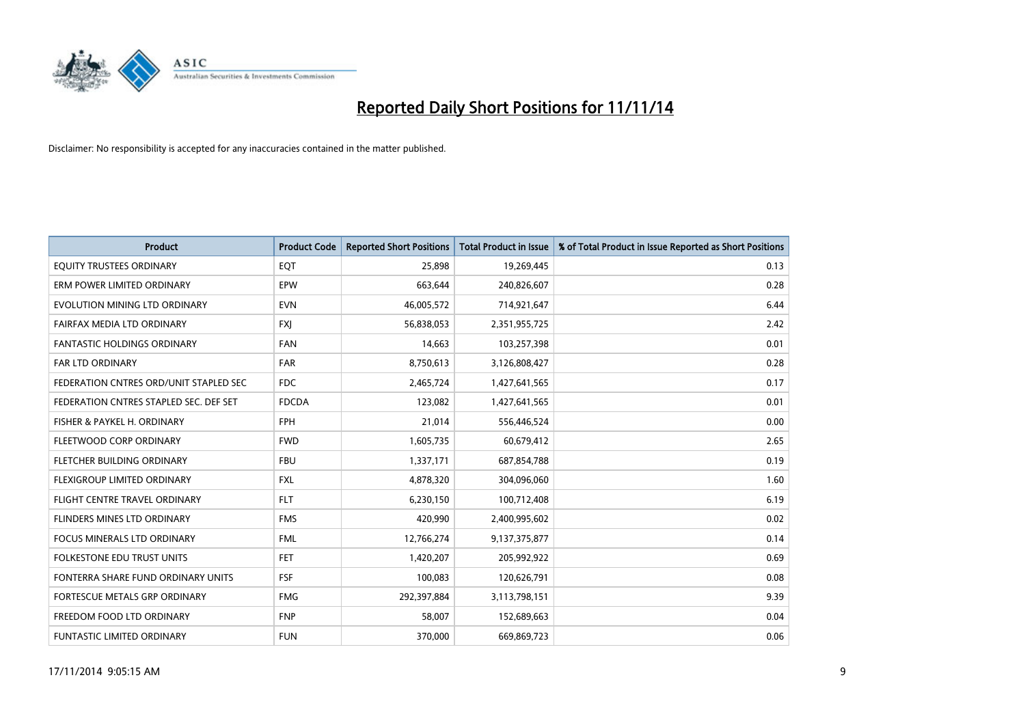

| <b>Product</b>                         | <b>Product Code</b> | <b>Reported Short Positions</b> | <b>Total Product in Issue</b> | % of Total Product in Issue Reported as Short Positions |
|----------------------------------------|---------------------|---------------------------------|-------------------------------|---------------------------------------------------------|
| EQUITY TRUSTEES ORDINARY               | EQT                 | 25,898                          | 19,269,445                    | 0.13                                                    |
| ERM POWER LIMITED ORDINARY             | <b>EPW</b>          | 663,644                         | 240,826,607                   | 0.28                                                    |
| EVOLUTION MINING LTD ORDINARY          | <b>EVN</b>          | 46,005,572                      | 714,921,647                   | 6.44                                                    |
| FAIRFAX MEDIA LTD ORDINARY             | <b>FXI</b>          | 56,838,053                      | 2,351,955,725                 | 2.42                                                    |
| <b>FANTASTIC HOLDINGS ORDINARY</b>     | <b>FAN</b>          | 14,663                          | 103,257,398                   | 0.01                                                    |
| <b>FAR LTD ORDINARY</b>                | <b>FAR</b>          | 8,750,613                       | 3,126,808,427                 | 0.28                                                    |
| FEDERATION CNTRES ORD/UNIT STAPLED SEC | FDC                 | 2,465,724                       | 1,427,641,565                 | 0.17                                                    |
| FEDERATION CNTRES STAPLED SEC. DEF SET | <b>FDCDA</b>        | 123,082                         | 1,427,641,565                 | 0.01                                                    |
| FISHER & PAYKEL H. ORDINARY            | <b>FPH</b>          | 21,014                          | 556,446,524                   | 0.00                                                    |
| FLEETWOOD CORP ORDINARY                | <b>FWD</b>          | 1,605,735                       | 60,679,412                    | 2.65                                                    |
| FLETCHER BUILDING ORDINARY             | <b>FBU</b>          | 1,337,171                       | 687,854,788                   | 0.19                                                    |
| FLEXIGROUP LIMITED ORDINARY            | <b>FXL</b>          | 4,878,320                       | 304,096,060                   | 1.60                                                    |
| FLIGHT CENTRE TRAVEL ORDINARY          | <b>FLT</b>          | 6,230,150                       | 100,712,408                   | 6.19                                                    |
| FLINDERS MINES LTD ORDINARY            | <b>FMS</b>          | 420,990                         | 2,400,995,602                 | 0.02                                                    |
| <b>FOCUS MINERALS LTD ORDINARY</b>     | <b>FML</b>          | 12,766,274                      | 9,137,375,877                 | 0.14                                                    |
| <b>FOLKESTONE EDU TRUST UNITS</b>      | <b>FET</b>          | 1,420,207                       | 205,992,922                   | 0.69                                                    |
| FONTERRA SHARE FUND ORDINARY UNITS     | <b>FSF</b>          | 100,083                         | 120,626,791                   | 0.08                                                    |
| FORTESCUE METALS GRP ORDINARY          | <b>FMG</b>          | 292,397,884                     | 3,113,798,151                 | 9.39                                                    |
| FREEDOM FOOD LTD ORDINARY              | <b>FNP</b>          | 58,007                          | 152,689,663                   | 0.04                                                    |
| <b>FUNTASTIC LIMITED ORDINARY</b>      | <b>FUN</b>          | 370,000                         | 669,869,723                   | 0.06                                                    |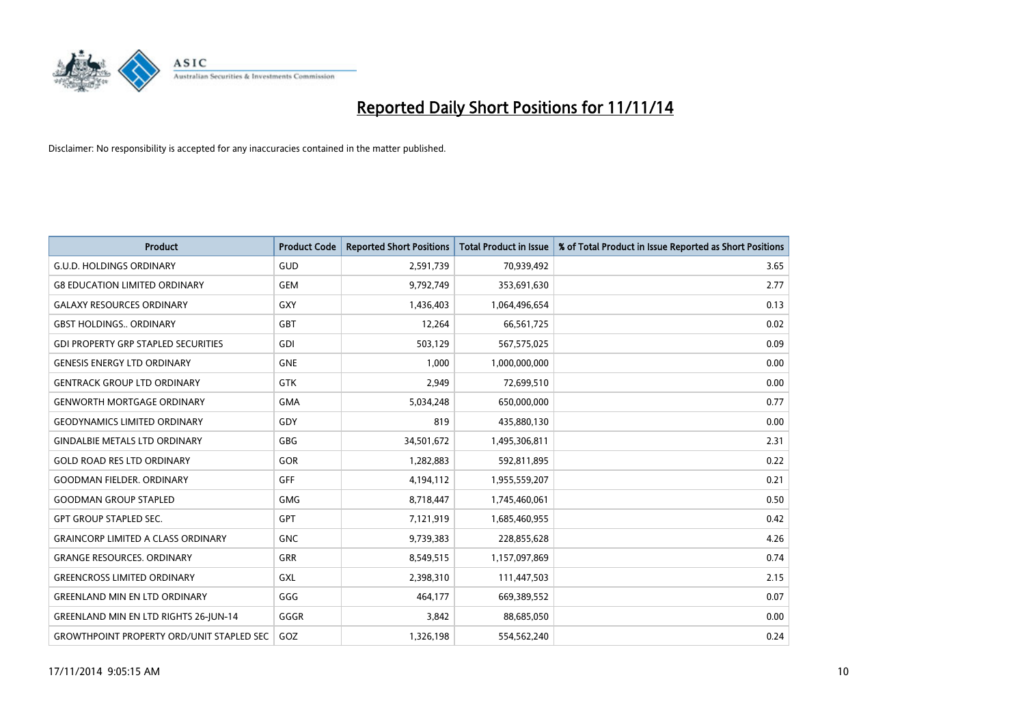

| <b>Product</b>                                   | <b>Product Code</b> | <b>Reported Short Positions</b> | <b>Total Product in Issue</b> | % of Total Product in Issue Reported as Short Positions |
|--------------------------------------------------|---------------------|---------------------------------|-------------------------------|---------------------------------------------------------|
| <b>G.U.D. HOLDINGS ORDINARY</b>                  | GUD                 | 2,591,739                       | 70,939,492                    | 3.65                                                    |
| <b>G8 EDUCATION LIMITED ORDINARY</b>             | <b>GEM</b>          | 9,792,749                       | 353,691,630                   | 2.77                                                    |
| <b>GALAXY RESOURCES ORDINARY</b>                 | <b>GXY</b>          | 1,436,403                       | 1,064,496,654                 | 0.13                                                    |
| <b>GBST HOLDINGS ORDINARY</b>                    | <b>GBT</b>          | 12,264                          | 66,561,725                    | 0.02                                                    |
| <b>GDI PROPERTY GRP STAPLED SECURITIES</b>       | GDI                 | 503,129                         | 567,575,025                   | 0.09                                                    |
| <b>GENESIS ENERGY LTD ORDINARY</b>               | <b>GNE</b>          | 1,000                           | 1,000,000,000                 | 0.00                                                    |
| <b>GENTRACK GROUP LTD ORDINARY</b>               | <b>GTK</b>          | 2,949                           | 72,699,510                    | 0.00                                                    |
| <b>GENWORTH MORTGAGE ORDINARY</b>                | <b>GMA</b>          | 5,034,248                       | 650,000,000                   | 0.77                                                    |
| <b>GEODYNAMICS LIMITED ORDINARY</b>              | GDY                 | 819                             | 435,880,130                   | 0.00                                                    |
| <b>GINDALBIE METALS LTD ORDINARY</b>             | GBG                 | 34,501,672                      | 1,495,306,811                 | 2.31                                                    |
| <b>GOLD ROAD RES LTD ORDINARY</b>                | <b>GOR</b>          | 1,282,883                       | 592,811,895                   | 0.22                                                    |
| <b>GOODMAN FIELDER, ORDINARY</b>                 | <b>GFF</b>          | 4,194,112                       | 1,955,559,207                 | 0.21                                                    |
| <b>GOODMAN GROUP STAPLED</b>                     | <b>GMG</b>          | 8,718,447                       | 1,745,460,061                 | 0.50                                                    |
| <b>GPT GROUP STAPLED SEC.</b>                    | <b>GPT</b>          | 7,121,919                       | 1,685,460,955                 | 0.42                                                    |
| <b>GRAINCORP LIMITED A CLASS ORDINARY</b>        | <b>GNC</b>          | 9,739,383                       | 228,855,628                   | 4.26                                                    |
| <b>GRANGE RESOURCES. ORDINARY</b>                | GRR                 | 8,549,515                       | 1,157,097,869                 | 0.74                                                    |
| <b>GREENCROSS LIMITED ORDINARY</b>               | GXL                 | 2,398,310                       | 111,447,503                   | 2.15                                                    |
| <b>GREENLAND MIN EN LTD ORDINARY</b>             | GGG                 | 464,177                         | 669,389,552                   | 0.07                                                    |
| <b>GREENLAND MIN EN LTD RIGHTS 26-JUN-14</b>     | GGGR                | 3,842                           | 88,685,050                    | 0.00                                                    |
| <b>GROWTHPOINT PROPERTY ORD/UNIT STAPLED SEC</b> | GOZ                 | 1,326,198                       | 554,562,240                   | 0.24                                                    |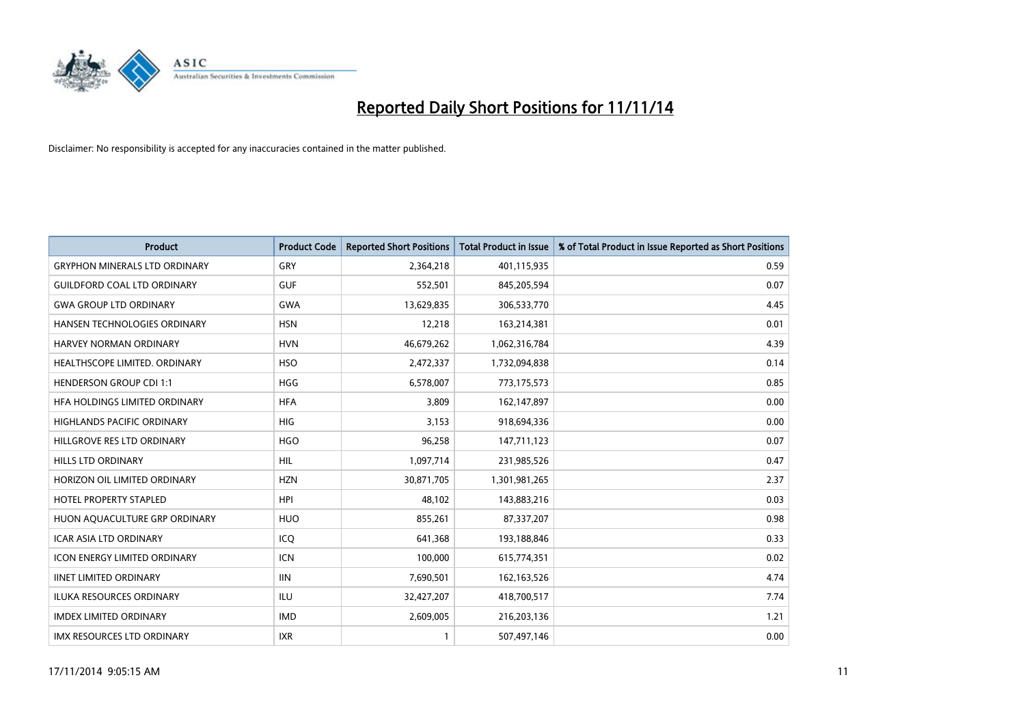

| <b>Product</b>                       | <b>Product Code</b> | <b>Reported Short Positions</b> | <b>Total Product in Issue</b> | % of Total Product in Issue Reported as Short Positions |
|--------------------------------------|---------------------|---------------------------------|-------------------------------|---------------------------------------------------------|
| <b>GRYPHON MINERALS LTD ORDINARY</b> | GRY                 | 2,364,218                       | 401,115,935                   | 0.59                                                    |
| <b>GUILDFORD COAL LTD ORDINARY</b>   | <b>GUF</b>          | 552,501                         | 845,205,594                   | 0.07                                                    |
| <b>GWA GROUP LTD ORDINARY</b>        | <b>GWA</b>          | 13,629,835                      | 306,533,770                   | 4.45                                                    |
| HANSEN TECHNOLOGIES ORDINARY         | <b>HSN</b>          | 12,218                          | 163,214,381                   | 0.01                                                    |
| HARVEY NORMAN ORDINARY               | <b>HVN</b>          | 46,679,262                      | 1,062,316,784                 | 4.39                                                    |
| HEALTHSCOPE LIMITED. ORDINARY        | <b>HSO</b>          | 2,472,337                       | 1,732,094,838                 | 0.14                                                    |
| <b>HENDERSON GROUP CDI 1:1</b>       | HGG                 | 6,578,007                       | 773,175,573                   | 0.85                                                    |
| HFA HOLDINGS LIMITED ORDINARY        | <b>HFA</b>          | 3,809                           | 162,147,897                   | 0.00                                                    |
| <b>HIGHLANDS PACIFIC ORDINARY</b>    | <b>HIG</b>          | 3,153                           | 918,694,336                   | 0.00                                                    |
| HILLGROVE RES LTD ORDINARY           | <b>HGO</b>          | 96,258                          | 147,711,123                   | 0.07                                                    |
| HILLS LTD ORDINARY                   | <b>HIL</b>          | 1,097,714                       | 231,985,526                   | 0.47                                                    |
| HORIZON OIL LIMITED ORDINARY         | <b>HZN</b>          | 30,871,705                      | 1,301,981,265                 | 2.37                                                    |
| <b>HOTEL PROPERTY STAPLED</b>        | <b>HPI</b>          | 48,102                          | 143,883,216                   | 0.03                                                    |
| HUON AQUACULTURE GRP ORDINARY        | <b>HUO</b>          | 855,261                         | 87,337,207                    | 0.98                                                    |
| <b>ICAR ASIA LTD ORDINARY</b>        | ICQ                 | 641,368                         | 193,188,846                   | 0.33                                                    |
| <b>ICON ENERGY LIMITED ORDINARY</b>  | <b>ICN</b>          | 100,000                         | 615,774,351                   | 0.02                                                    |
| <b>IINET LIMITED ORDINARY</b>        | <b>IIN</b>          | 7,690,501                       | 162,163,526                   | 4.74                                                    |
| ILUKA RESOURCES ORDINARY             | ILU                 | 32,427,207                      | 418,700,517                   | 7.74                                                    |
| <b>IMDEX LIMITED ORDINARY</b>        | <b>IMD</b>          | 2,609,005                       | 216,203,136                   | 1.21                                                    |
| IMX RESOURCES LTD ORDINARY           | <b>IXR</b>          | $\mathbf{1}$                    | 507,497,146                   | 0.00                                                    |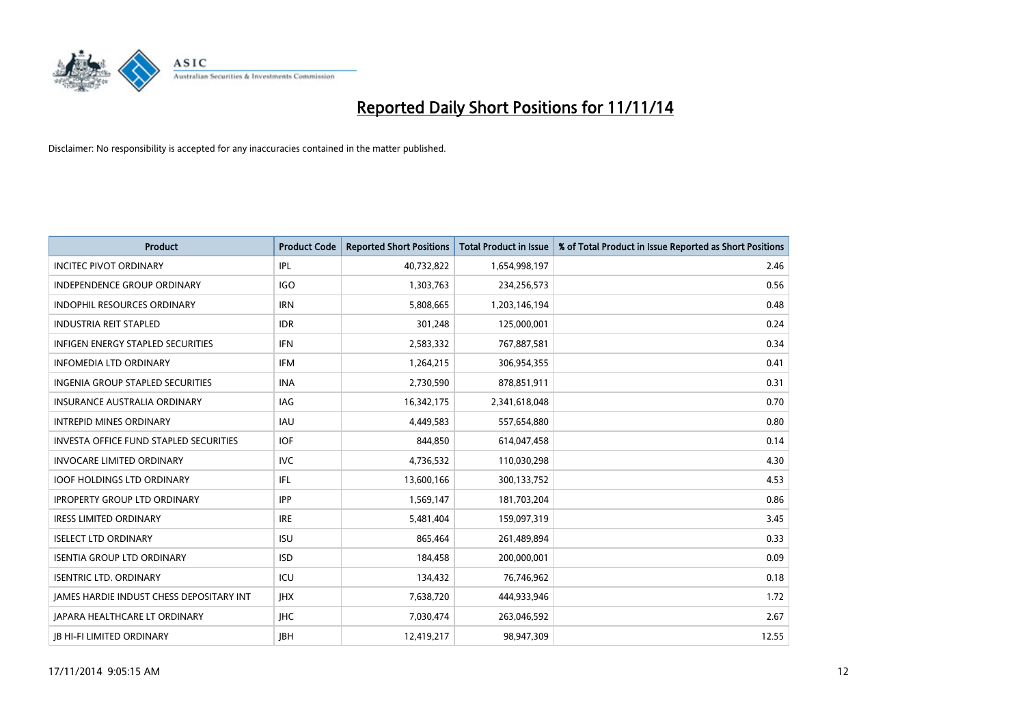

| <b>Product</b>                           | <b>Product Code</b> | <b>Reported Short Positions</b> | <b>Total Product in Issue</b> | % of Total Product in Issue Reported as Short Positions |
|------------------------------------------|---------------------|---------------------------------|-------------------------------|---------------------------------------------------------|
| <b>INCITEC PIVOT ORDINARY</b>            | IPL                 | 40,732,822                      | 1,654,998,197                 | 2.46                                                    |
| INDEPENDENCE GROUP ORDINARY              | <b>IGO</b>          | 1,303,763                       | 234,256,573                   | 0.56                                                    |
| <b>INDOPHIL RESOURCES ORDINARY</b>       | <b>IRN</b>          | 5,808,665                       | 1,203,146,194                 | 0.48                                                    |
| <b>INDUSTRIA REIT STAPLED</b>            | <b>IDR</b>          | 301,248                         | 125,000,001                   | 0.24                                                    |
| <b>INFIGEN ENERGY STAPLED SECURITIES</b> | <b>IFN</b>          | 2,583,332                       | 767,887,581                   | 0.34                                                    |
| <b>INFOMEDIA LTD ORDINARY</b>            | <b>IFM</b>          | 1,264,215                       | 306,954,355                   | 0.41                                                    |
| <b>INGENIA GROUP STAPLED SECURITIES</b>  | <b>INA</b>          | 2,730,590                       | 878,851,911                   | 0.31                                                    |
| <b>INSURANCE AUSTRALIA ORDINARY</b>      | IAG                 | 16,342,175                      | 2,341,618,048                 | 0.70                                                    |
| <b>INTREPID MINES ORDINARY</b>           | IAU                 | 4,449,583                       | 557,654,880                   | 0.80                                                    |
| INVESTA OFFICE FUND STAPLED SECURITIES   | IOF.                | 844,850                         | 614,047,458                   | 0.14                                                    |
| <b>INVOCARE LIMITED ORDINARY</b>         | <b>IVC</b>          | 4,736,532                       | 110,030,298                   | 4.30                                                    |
| <b>IOOF HOLDINGS LTD ORDINARY</b>        | IFL                 | 13,600,166                      | 300,133,752                   | 4.53                                                    |
| <b>IPROPERTY GROUP LTD ORDINARY</b>      | <b>IPP</b>          | 1,569,147                       | 181,703,204                   | 0.86                                                    |
| <b>IRESS LIMITED ORDINARY</b>            | <b>IRE</b>          | 5,481,404                       | 159,097,319                   | 3.45                                                    |
| <b>ISELECT LTD ORDINARY</b>              | <b>ISU</b>          | 865,464                         | 261,489,894                   | 0.33                                                    |
| <b>ISENTIA GROUP LTD ORDINARY</b>        | <b>ISD</b>          | 184,458                         | 200,000,001                   | 0.09                                                    |
| <b>ISENTRIC LTD. ORDINARY</b>            | ICU                 | 134,432                         | 76,746,962                    | 0.18                                                    |
| JAMES HARDIE INDUST CHESS DEPOSITARY INT | <b>IHX</b>          | 7,638,720                       | 444,933,946                   | 1.72                                                    |
| <b>IAPARA HEALTHCARE LT ORDINARY</b>     | <b>IHC</b>          | 7,030,474                       | 263,046,592                   | 2.67                                                    |
| <b>IB HI-FI LIMITED ORDINARY</b>         | <b>JBH</b>          | 12,419,217                      | 98,947,309                    | 12.55                                                   |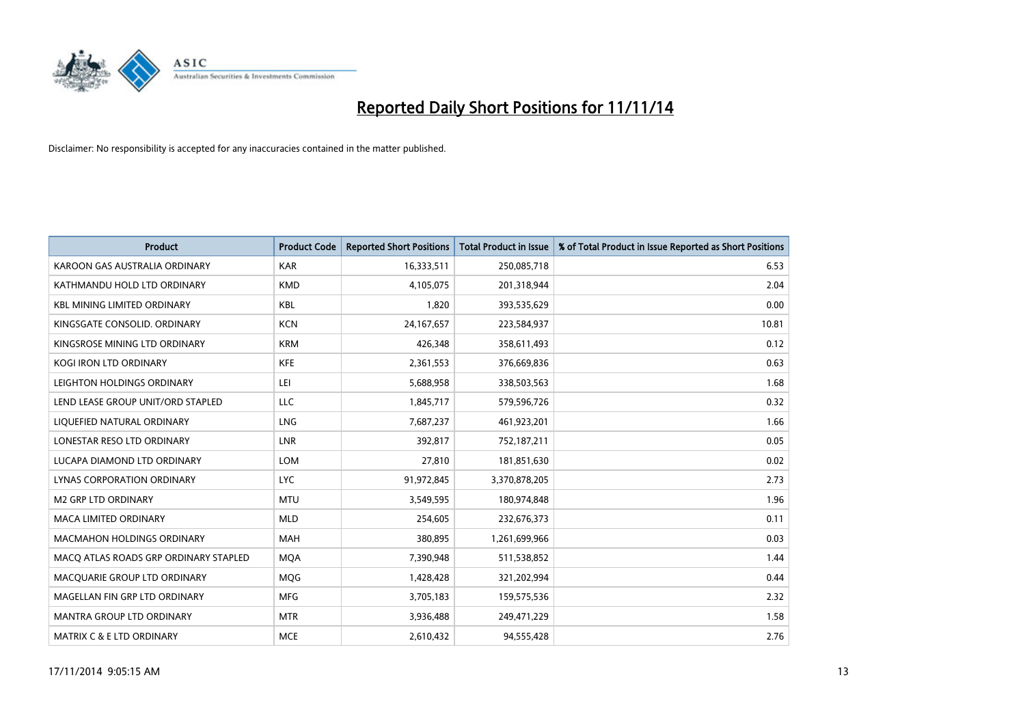

| <b>Product</b>                        | <b>Product Code</b> | <b>Reported Short Positions</b> | <b>Total Product in Issue</b> | % of Total Product in Issue Reported as Short Positions |
|---------------------------------------|---------------------|---------------------------------|-------------------------------|---------------------------------------------------------|
| KAROON GAS AUSTRALIA ORDINARY         | <b>KAR</b>          | 16,333,511                      | 250,085,718                   | 6.53                                                    |
| KATHMANDU HOLD LTD ORDINARY           | <b>KMD</b>          | 4,105,075                       | 201,318,944                   | 2.04                                                    |
| <b>KBL MINING LIMITED ORDINARY</b>    | <b>KBL</b>          | 1,820                           | 393,535,629                   | 0.00                                                    |
| KINGSGATE CONSOLID. ORDINARY          | <b>KCN</b>          | 24, 167, 657                    | 223,584,937                   | 10.81                                                   |
| KINGSROSE MINING LTD ORDINARY         | <b>KRM</b>          | 426,348                         | 358,611,493                   | 0.12                                                    |
| <b>KOGI IRON LTD ORDINARY</b>         | <b>KFE</b>          | 2,361,553                       | 376,669,836                   | 0.63                                                    |
| LEIGHTON HOLDINGS ORDINARY            | LEI                 | 5,688,958                       | 338,503,563                   | 1.68                                                    |
| LEND LEASE GROUP UNIT/ORD STAPLED     | LLC                 | 1,845,717                       | 579,596,726                   | 0.32                                                    |
| LIQUEFIED NATURAL ORDINARY            | LNG                 | 7,687,237                       | 461,923,201                   | 1.66                                                    |
| LONESTAR RESO LTD ORDINARY            | LNR                 | 392,817                         | 752,187,211                   | 0.05                                                    |
| LUCAPA DIAMOND LTD ORDINARY           | <b>LOM</b>          | 27,810                          | 181,851,630                   | 0.02                                                    |
| <b>LYNAS CORPORATION ORDINARY</b>     | <b>LYC</b>          | 91,972,845                      | 3,370,878,205                 | 2.73                                                    |
| <b>M2 GRP LTD ORDINARY</b>            | <b>MTU</b>          | 3,549,595                       | 180,974,848                   | 1.96                                                    |
| <b>MACA LIMITED ORDINARY</b>          | <b>MLD</b>          | 254,605                         | 232,676,373                   | 0.11                                                    |
| <b>MACMAHON HOLDINGS ORDINARY</b>     | <b>MAH</b>          | 380,895                         | 1,261,699,966                 | 0.03                                                    |
| MACO ATLAS ROADS GRP ORDINARY STAPLED | <b>MOA</b>          | 7,390,948                       | 511,538,852                   | 1.44                                                    |
| MACQUARIE GROUP LTD ORDINARY          | <b>MQG</b>          | 1,428,428                       | 321,202,994                   | 0.44                                                    |
| MAGELLAN FIN GRP LTD ORDINARY         | <b>MFG</b>          | 3,705,183                       | 159,575,536                   | 2.32                                                    |
| <b>MANTRA GROUP LTD ORDINARY</b>      | <b>MTR</b>          | 3,936,488                       | 249,471,229                   | 1.58                                                    |
| <b>MATRIX C &amp; E LTD ORDINARY</b>  | <b>MCE</b>          | 2,610,432                       | 94,555,428                    | 2.76                                                    |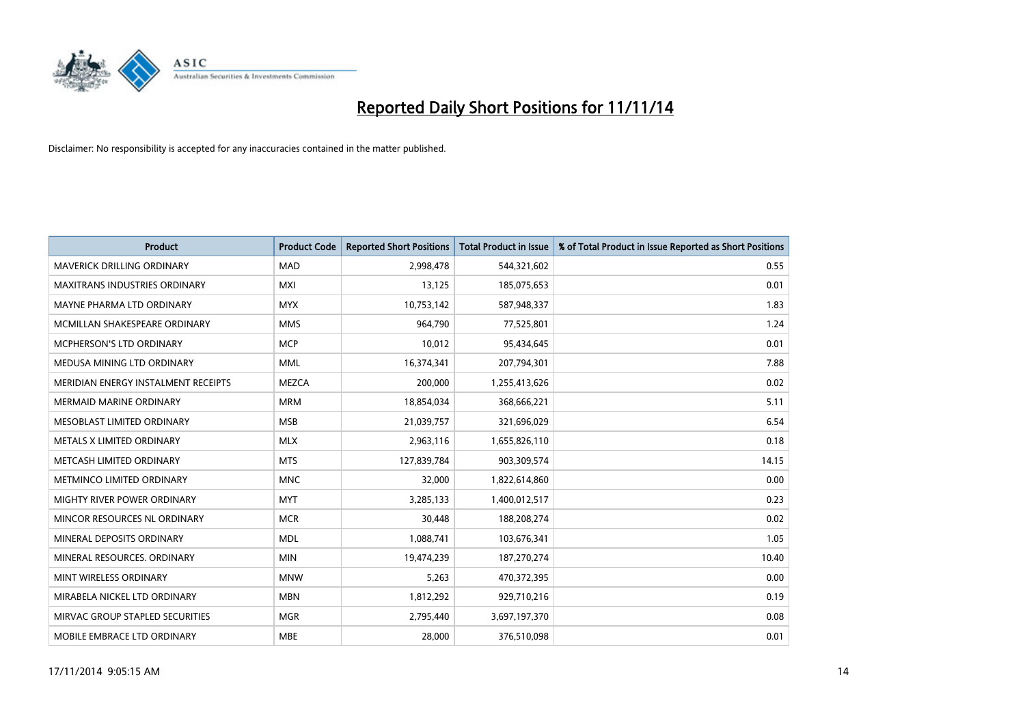

| Product                              | <b>Product Code</b> | <b>Reported Short Positions</b> | <b>Total Product in Issue</b> | % of Total Product in Issue Reported as Short Positions |
|--------------------------------------|---------------------|---------------------------------|-------------------------------|---------------------------------------------------------|
| <b>MAVERICK DRILLING ORDINARY</b>    | <b>MAD</b>          | 2,998,478                       | 544,321,602                   | 0.55                                                    |
| <b>MAXITRANS INDUSTRIES ORDINARY</b> | <b>MXI</b>          | 13,125                          | 185,075,653                   | 0.01                                                    |
| MAYNE PHARMA LTD ORDINARY            | <b>MYX</b>          | 10,753,142                      | 587,948,337                   | 1.83                                                    |
| MCMILLAN SHAKESPEARE ORDINARY        | <b>MMS</b>          | 964,790                         | 77,525,801                    | 1.24                                                    |
| <b>MCPHERSON'S LTD ORDINARY</b>      | <b>MCP</b>          | 10,012                          | 95,434,645                    | 0.01                                                    |
| MEDUSA MINING LTD ORDINARY           | <b>MML</b>          | 16,374,341                      | 207,794,301                   | 7.88                                                    |
| MERIDIAN ENERGY INSTALMENT RECEIPTS  | <b>MEZCA</b>        | 200,000                         | 1,255,413,626                 | 0.02                                                    |
| <b>MERMAID MARINE ORDINARY</b>       | <b>MRM</b>          | 18,854,034                      | 368,666,221                   | 5.11                                                    |
| MESOBLAST LIMITED ORDINARY           | <b>MSB</b>          | 21,039,757                      | 321,696,029                   | 6.54                                                    |
| METALS X LIMITED ORDINARY            | <b>MLX</b>          | 2,963,116                       | 1,655,826,110                 | 0.18                                                    |
| METCASH LIMITED ORDINARY             | <b>MTS</b>          | 127,839,784                     | 903,309,574                   | 14.15                                                   |
| METMINCO LIMITED ORDINARY            | <b>MNC</b>          | 32,000                          | 1,822,614,860                 | 0.00                                                    |
| MIGHTY RIVER POWER ORDINARY          | <b>MYT</b>          | 3,285,133                       | 1,400,012,517                 | 0.23                                                    |
| MINCOR RESOURCES NL ORDINARY         | <b>MCR</b>          | 30,448                          | 188,208,274                   | 0.02                                                    |
| MINERAL DEPOSITS ORDINARY            | <b>MDL</b>          | 1,088,741                       | 103,676,341                   | 1.05                                                    |
| MINERAL RESOURCES. ORDINARY          | <b>MIN</b>          | 19,474,239                      | 187,270,274                   | 10.40                                                   |
| MINT WIRELESS ORDINARY               | <b>MNW</b>          | 5,263                           | 470,372,395                   | 0.00                                                    |
| MIRABELA NICKEL LTD ORDINARY         | <b>MBN</b>          | 1,812,292                       | 929,710,216                   | 0.19                                                    |
| MIRVAC GROUP STAPLED SECURITIES      | <b>MGR</b>          | 2,795,440                       | 3,697,197,370                 | 0.08                                                    |
| MOBILE EMBRACE LTD ORDINARY          | <b>MBE</b>          | 28,000                          | 376,510,098                   | 0.01                                                    |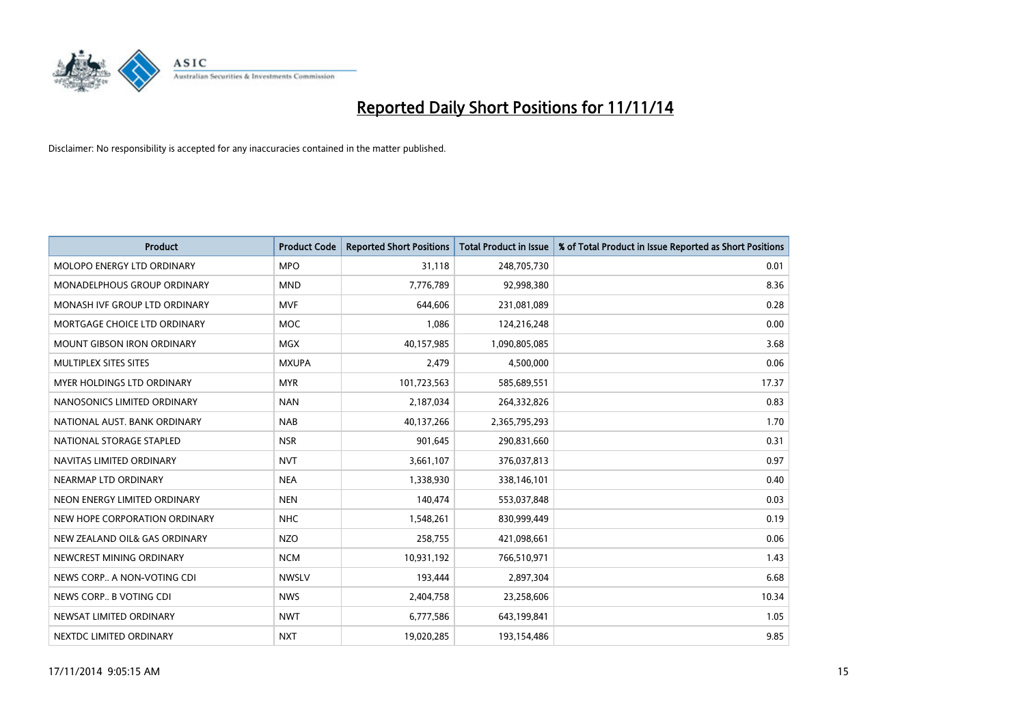

| <b>Product</b>                    | <b>Product Code</b> | <b>Reported Short Positions</b> | <b>Total Product in Issue</b> | % of Total Product in Issue Reported as Short Positions |
|-----------------------------------|---------------------|---------------------------------|-------------------------------|---------------------------------------------------------|
| MOLOPO ENERGY LTD ORDINARY        | <b>MPO</b>          | 31,118                          | 248,705,730                   | 0.01                                                    |
| MONADELPHOUS GROUP ORDINARY       | <b>MND</b>          | 7,776,789                       | 92,998,380                    | 8.36                                                    |
| MONASH IVF GROUP LTD ORDINARY     | <b>MVF</b>          | 644,606                         | 231,081,089                   | 0.28                                                    |
| MORTGAGE CHOICE LTD ORDINARY      | <b>MOC</b>          | 1,086                           | 124,216,248                   | 0.00                                                    |
| <b>MOUNT GIBSON IRON ORDINARY</b> | <b>MGX</b>          | 40,157,985                      | 1,090,805,085                 | 3.68                                                    |
| MULTIPLEX SITES SITES             | <b>MXUPA</b>        | 2,479                           | 4,500,000                     | 0.06                                                    |
| <b>MYER HOLDINGS LTD ORDINARY</b> | <b>MYR</b>          | 101,723,563                     | 585,689,551                   | 17.37                                                   |
| NANOSONICS LIMITED ORDINARY       | <b>NAN</b>          | 2,187,034                       | 264,332,826                   | 0.83                                                    |
| NATIONAL AUST, BANK ORDINARY      | <b>NAB</b>          | 40,137,266                      | 2,365,795,293                 | 1.70                                                    |
| NATIONAL STORAGE STAPLED          | <b>NSR</b>          | 901,645                         | 290,831,660                   | 0.31                                                    |
| NAVITAS LIMITED ORDINARY          | <b>NVT</b>          | 3,661,107                       | 376,037,813                   | 0.97                                                    |
| NEARMAP LTD ORDINARY              | <b>NEA</b>          | 1,338,930                       | 338,146,101                   | 0.40                                                    |
| NEON ENERGY LIMITED ORDINARY      | <b>NEN</b>          | 140,474                         | 553,037,848                   | 0.03                                                    |
| NEW HOPE CORPORATION ORDINARY     | <b>NHC</b>          | 1,548,261                       | 830,999,449                   | 0.19                                                    |
| NEW ZEALAND OIL& GAS ORDINARY     | <b>NZO</b>          | 258,755                         | 421,098,661                   | 0.06                                                    |
| NEWCREST MINING ORDINARY          | <b>NCM</b>          | 10,931,192                      | 766,510,971                   | 1.43                                                    |
| NEWS CORP A NON-VOTING CDI        | <b>NWSLV</b>        | 193,444                         | 2,897,304                     | 6.68                                                    |
| NEWS CORP B VOTING CDI            | <b>NWS</b>          | 2,404,758                       | 23,258,606                    | 10.34                                                   |
| NEWSAT LIMITED ORDINARY           | <b>NWT</b>          | 6,777,586                       | 643,199,841                   | 1.05                                                    |
| NEXTDC LIMITED ORDINARY           | <b>NXT</b>          | 19,020,285                      | 193,154,486                   | 9.85                                                    |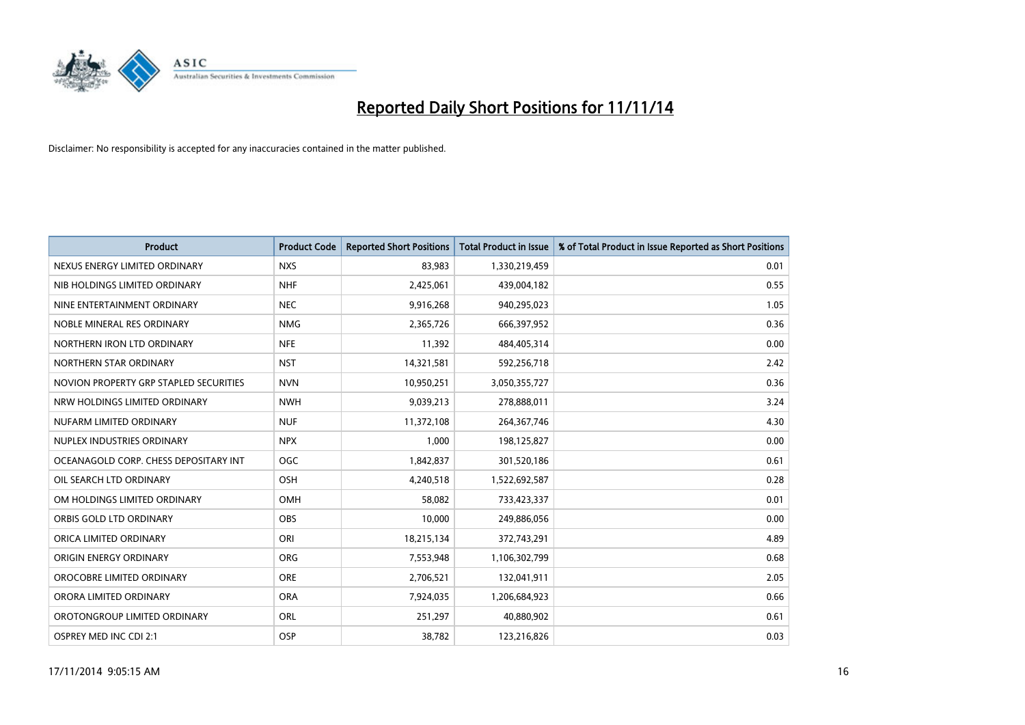

| <b>Product</b>                         | <b>Product Code</b> | <b>Reported Short Positions</b> | <b>Total Product in Issue</b> | % of Total Product in Issue Reported as Short Positions |
|----------------------------------------|---------------------|---------------------------------|-------------------------------|---------------------------------------------------------|
| NEXUS ENERGY LIMITED ORDINARY          | <b>NXS</b>          | 83,983                          | 1,330,219,459                 | 0.01                                                    |
| NIB HOLDINGS LIMITED ORDINARY          | <b>NHF</b>          | 2,425,061                       | 439,004,182                   | 0.55                                                    |
| NINE ENTERTAINMENT ORDINARY            | <b>NEC</b>          | 9,916,268                       | 940,295,023                   | 1.05                                                    |
| NOBLE MINERAL RES ORDINARY             | <b>NMG</b>          | 2,365,726                       | 666,397,952                   | 0.36                                                    |
| NORTHERN IRON LTD ORDINARY             | <b>NFE</b>          | 11,392                          | 484,405,314                   | 0.00                                                    |
| NORTHERN STAR ORDINARY                 | <b>NST</b>          | 14,321,581                      | 592,256,718                   | 2.42                                                    |
| NOVION PROPERTY GRP STAPLED SECURITIES | <b>NVN</b>          | 10,950,251                      | 3,050,355,727                 | 0.36                                                    |
| NRW HOLDINGS LIMITED ORDINARY          | <b>NWH</b>          | 9,039,213                       | 278,888,011                   | 3.24                                                    |
| NUFARM LIMITED ORDINARY                | <b>NUF</b>          | 11,372,108                      | 264, 367, 746                 | 4.30                                                    |
| NUPLEX INDUSTRIES ORDINARY             | <b>NPX</b>          | 1,000                           | 198,125,827                   | 0.00                                                    |
| OCEANAGOLD CORP. CHESS DEPOSITARY INT  | OGC                 | 1,842,837                       | 301,520,186                   | 0.61                                                    |
| OIL SEARCH LTD ORDINARY                | <b>OSH</b>          | 4,240,518                       | 1,522,692,587                 | 0.28                                                    |
| OM HOLDINGS LIMITED ORDINARY           | OMH                 | 58,082                          | 733,423,337                   | 0.01                                                    |
| ORBIS GOLD LTD ORDINARY                | <b>OBS</b>          | 10,000                          | 249,886,056                   | 0.00                                                    |
| ORICA LIMITED ORDINARY                 | ORI                 | 18,215,134                      | 372,743,291                   | 4.89                                                    |
| ORIGIN ENERGY ORDINARY                 | <b>ORG</b>          | 7,553,948                       | 1,106,302,799                 | 0.68                                                    |
| OROCOBRE LIMITED ORDINARY              | <b>ORE</b>          | 2,706,521                       | 132,041,911                   | 2.05                                                    |
| ORORA LIMITED ORDINARY                 | <b>ORA</b>          | 7,924,035                       | 1,206,684,923                 | 0.66                                                    |
| OROTONGROUP LIMITED ORDINARY           | ORL                 | 251,297                         | 40,880,902                    | 0.61                                                    |
| <b>OSPREY MED INC CDI 2:1</b>          | OSP                 | 38,782                          | 123,216,826                   | 0.03                                                    |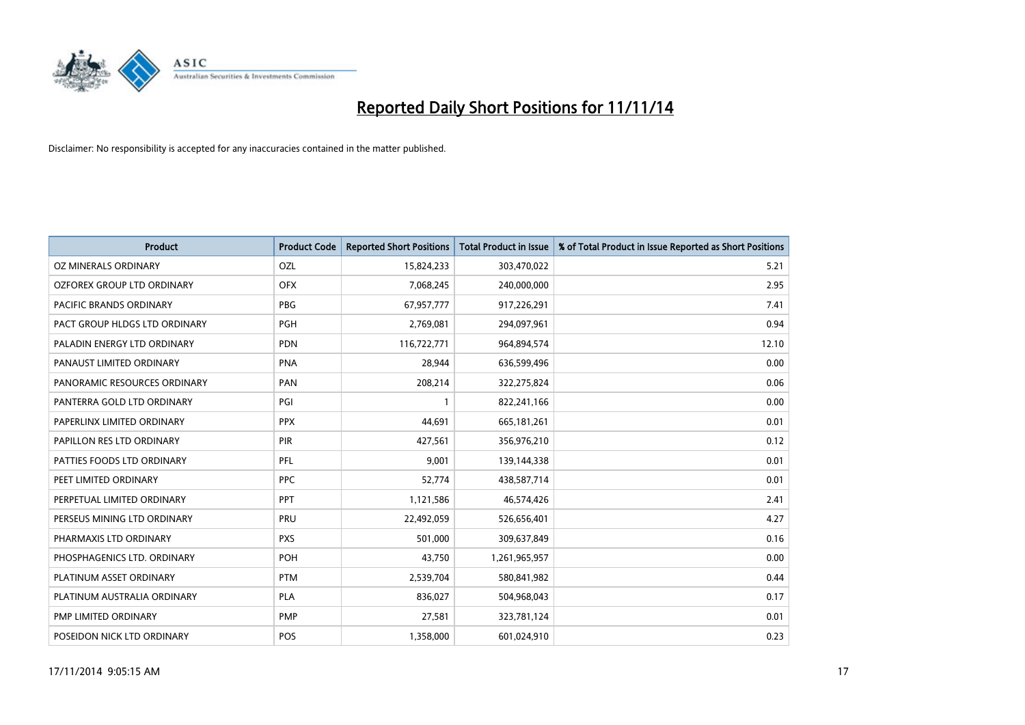

| <b>Product</b>                    | <b>Product Code</b> | <b>Reported Short Positions</b> | <b>Total Product in Issue</b> | % of Total Product in Issue Reported as Short Positions |
|-----------------------------------|---------------------|---------------------------------|-------------------------------|---------------------------------------------------------|
| <b>OZ MINERALS ORDINARY</b>       | OZL                 | 15,824,233                      | 303,470,022                   | 5.21                                                    |
| <b>OZFOREX GROUP LTD ORDINARY</b> | <b>OFX</b>          | 7,068,245                       | 240,000,000                   | 2.95                                                    |
| PACIFIC BRANDS ORDINARY           | <b>PBG</b>          | 67,957,777                      | 917,226,291                   | 7.41                                                    |
| PACT GROUP HLDGS LTD ORDINARY     | <b>PGH</b>          | 2,769,081                       | 294,097,961                   | 0.94                                                    |
| PALADIN ENERGY LTD ORDINARY       | <b>PDN</b>          | 116,722,771                     | 964,894,574                   | 12.10                                                   |
| PANAUST LIMITED ORDINARY          | <b>PNA</b>          | 28,944                          | 636,599,496                   | 0.00                                                    |
| PANORAMIC RESOURCES ORDINARY      | PAN                 | 208,214                         | 322,275,824                   | 0.06                                                    |
| PANTERRA GOLD LTD ORDINARY        | PGI                 | 1                               | 822,241,166                   | 0.00                                                    |
| PAPERLINX LIMITED ORDINARY        | <b>PPX</b>          | 44,691                          | 665, 181, 261                 | 0.01                                                    |
| PAPILLON RES LTD ORDINARY         | PIR                 | 427,561                         | 356,976,210                   | 0.12                                                    |
| PATTIES FOODS LTD ORDINARY        | <b>PFL</b>          | 9,001                           | 139,144,338                   | 0.01                                                    |
| PEET LIMITED ORDINARY             | <b>PPC</b>          | 52,774                          | 438,587,714                   | 0.01                                                    |
| PERPETUAL LIMITED ORDINARY        | <b>PPT</b>          | 1,121,586                       | 46,574,426                    | 2.41                                                    |
| PERSEUS MINING LTD ORDINARY       | PRU                 | 22,492,059                      | 526,656,401                   | 4.27                                                    |
| PHARMAXIS LTD ORDINARY            | <b>PXS</b>          | 501,000                         | 309,637,849                   | 0.16                                                    |
| PHOSPHAGENICS LTD. ORDINARY       | POH                 | 43,750                          | 1,261,965,957                 | 0.00                                                    |
| PLATINUM ASSET ORDINARY           | <b>PTM</b>          | 2,539,704                       | 580,841,982                   | 0.44                                                    |
| PLATINUM AUSTRALIA ORDINARY       | <b>PLA</b>          | 836,027                         | 504,968,043                   | 0.17                                                    |
| <b>PMP LIMITED ORDINARY</b>       | <b>PMP</b>          | 27,581                          | 323,781,124                   | 0.01                                                    |
| POSEIDON NICK LTD ORDINARY        | <b>POS</b>          | 1,358,000                       | 601,024,910                   | 0.23                                                    |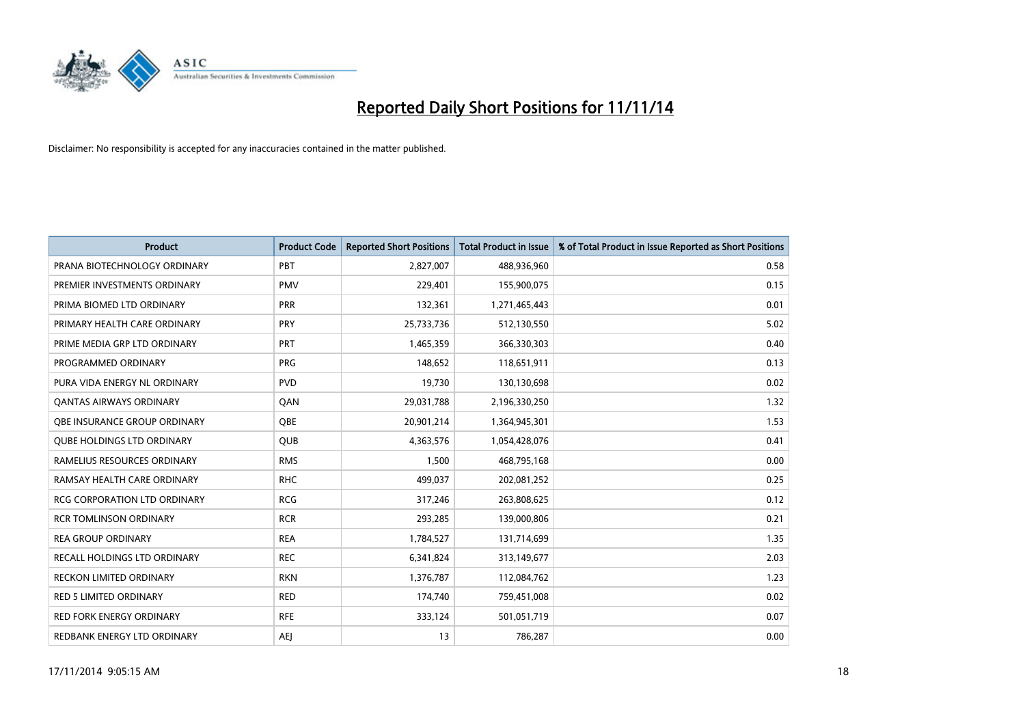

| <b>Product</b>                    | <b>Product Code</b> | <b>Reported Short Positions</b> | <b>Total Product in Issue</b> | % of Total Product in Issue Reported as Short Positions |
|-----------------------------------|---------------------|---------------------------------|-------------------------------|---------------------------------------------------------|
| PRANA BIOTECHNOLOGY ORDINARY      | PBT                 | 2,827,007                       | 488,936,960                   | 0.58                                                    |
| PREMIER INVESTMENTS ORDINARY      | <b>PMV</b>          | 229,401                         | 155,900,075                   | 0.15                                                    |
| PRIMA BIOMED LTD ORDINARY         | <b>PRR</b>          | 132,361                         | 1,271,465,443                 | 0.01                                                    |
| PRIMARY HEALTH CARE ORDINARY      | <b>PRY</b>          | 25,733,736                      | 512,130,550                   | 5.02                                                    |
| PRIME MEDIA GRP LTD ORDINARY      | <b>PRT</b>          | 1,465,359                       | 366,330,303                   | 0.40                                                    |
| PROGRAMMED ORDINARY               | <b>PRG</b>          | 148,652                         | 118,651,911                   | 0.13                                                    |
| PURA VIDA ENERGY NL ORDINARY      | <b>PVD</b>          | 19,730                          | 130,130,698                   | 0.02                                                    |
| <b>QANTAS AIRWAYS ORDINARY</b>    | QAN                 | 29,031,788                      | 2,196,330,250                 | 1.32                                                    |
| OBE INSURANCE GROUP ORDINARY      | <b>OBE</b>          | 20,901,214                      | 1,364,945,301                 | 1.53                                                    |
| <b>QUBE HOLDINGS LTD ORDINARY</b> | <b>QUB</b>          | 4,363,576                       | 1,054,428,076                 | 0.41                                                    |
| RAMELIUS RESOURCES ORDINARY       | <b>RMS</b>          | 1,500                           | 468,795,168                   | 0.00                                                    |
| RAMSAY HEALTH CARE ORDINARY       | <b>RHC</b>          | 499,037                         | 202,081,252                   | 0.25                                                    |
| RCG CORPORATION LTD ORDINARY      | <b>RCG</b>          | 317,246                         | 263,808,625                   | 0.12                                                    |
| <b>RCR TOMLINSON ORDINARY</b>     | <b>RCR</b>          | 293,285                         | 139,000,806                   | 0.21                                                    |
| <b>REA GROUP ORDINARY</b>         | <b>REA</b>          | 1,784,527                       | 131,714,699                   | 1.35                                                    |
| RECALL HOLDINGS LTD ORDINARY      | <b>REC</b>          | 6,341,824                       | 313,149,677                   | 2.03                                                    |
| <b>RECKON LIMITED ORDINARY</b>    | <b>RKN</b>          | 1,376,787                       | 112,084,762                   | 1.23                                                    |
| RED 5 LIMITED ORDINARY            | <b>RED</b>          | 174,740                         | 759,451,008                   | 0.02                                                    |
| <b>RED FORK ENERGY ORDINARY</b>   | <b>RFE</b>          | 333,124                         | 501,051,719                   | 0.07                                                    |
| REDBANK ENERGY LTD ORDINARY       | AEJ                 | 13                              | 786,287                       | 0.00                                                    |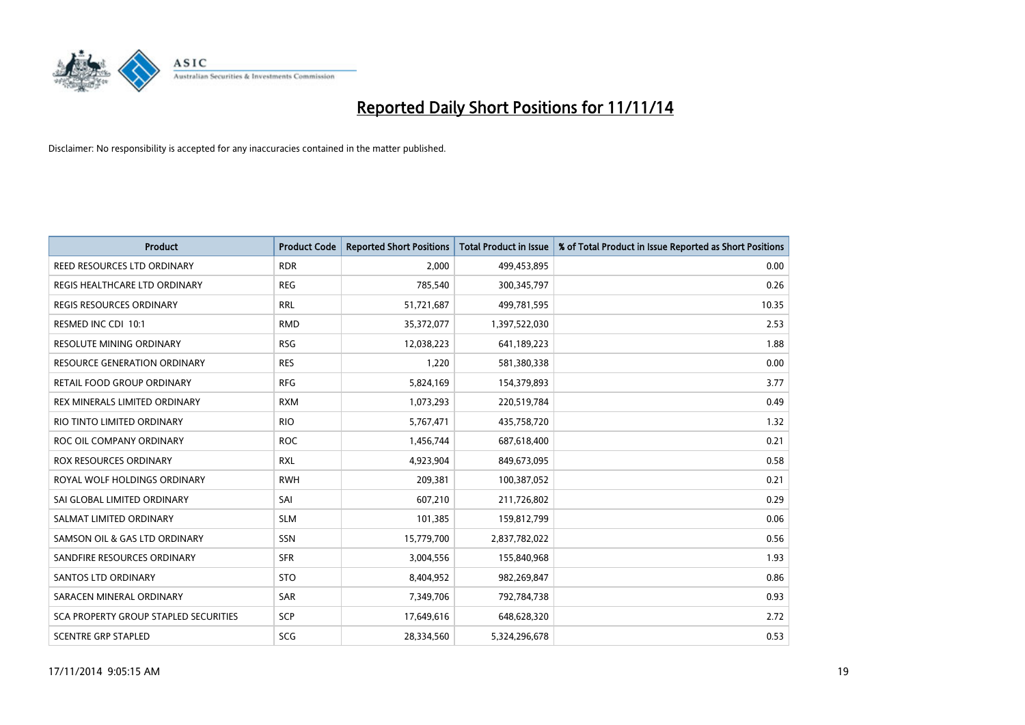

| <b>Product</b>                        | <b>Product Code</b> | <b>Reported Short Positions</b> | <b>Total Product in Issue</b> | % of Total Product in Issue Reported as Short Positions |
|---------------------------------------|---------------------|---------------------------------|-------------------------------|---------------------------------------------------------|
| REED RESOURCES LTD ORDINARY           | <b>RDR</b>          | 2.000                           | 499,453,895                   | 0.00                                                    |
| REGIS HEALTHCARE LTD ORDINARY         | <b>REG</b>          | 785,540                         | 300,345,797                   | 0.26                                                    |
| <b>REGIS RESOURCES ORDINARY</b>       | <b>RRL</b>          | 51,721,687                      | 499,781,595                   | 10.35                                                   |
| RESMED INC CDI 10:1                   | <b>RMD</b>          | 35,372,077                      | 1,397,522,030                 | 2.53                                                    |
| <b>RESOLUTE MINING ORDINARY</b>       | <b>RSG</b>          | 12,038,223                      | 641,189,223                   | 1.88                                                    |
| <b>RESOURCE GENERATION ORDINARY</b>   | <b>RES</b>          | 1,220                           | 581,380,338                   | 0.00                                                    |
| RETAIL FOOD GROUP ORDINARY            | <b>RFG</b>          | 5,824,169                       | 154,379,893                   | 3.77                                                    |
| REX MINERALS LIMITED ORDINARY         | <b>RXM</b>          | 1,073,293                       | 220,519,784                   | 0.49                                                    |
| RIO TINTO LIMITED ORDINARY            | <b>RIO</b>          | 5,767,471                       | 435,758,720                   | 1.32                                                    |
| ROC OIL COMPANY ORDINARY              | <b>ROC</b>          | 1,456,744                       | 687,618,400                   | 0.21                                                    |
| <b>ROX RESOURCES ORDINARY</b>         | <b>RXL</b>          | 4,923,904                       | 849,673,095                   | 0.58                                                    |
| ROYAL WOLF HOLDINGS ORDINARY          | <b>RWH</b>          | 209,381                         | 100,387,052                   | 0.21                                                    |
| SAI GLOBAL LIMITED ORDINARY           | SAI                 | 607,210                         | 211,726,802                   | 0.29                                                    |
| SALMAT LIMITED ORDINARY               | <b>SLM</b>          | 101,385                         | 159,812,799                   | 0.06                                                    |
| SAMSON OIL & GAS LTD ORDINARY         | <b>SSN</b>          | 15,779,700                      | 2,837,782,022                 | 0.56                                                    |
| SANDFIRE RESOURCES ORDINARY           | <b>SFR</b>          | 3,004,556                       | 155,840,968                   | 1.93                                                    |
| SANTOS LTD ORDINARY                   | <b>STO</b>          | 8,404,952                       | 982,269,847                   | 0.86                                                    |
| SARACEN MINERAL ORDINARY              | <b>SAR</b>          | 7,349,706                       | 792,784,738                   | 0.93                                                    |
| SCA PROPERTY GROUP STAPLED SECURITIES | <b>SCP</b>          | 17,649,616                      | 648,628,320                   | 2.72                                                    |
| <b>SCENTRE GRP STAPLED</b>            | SCG                 | 28,334,560                      | 5,324,296,678                 | 0.53                                                    |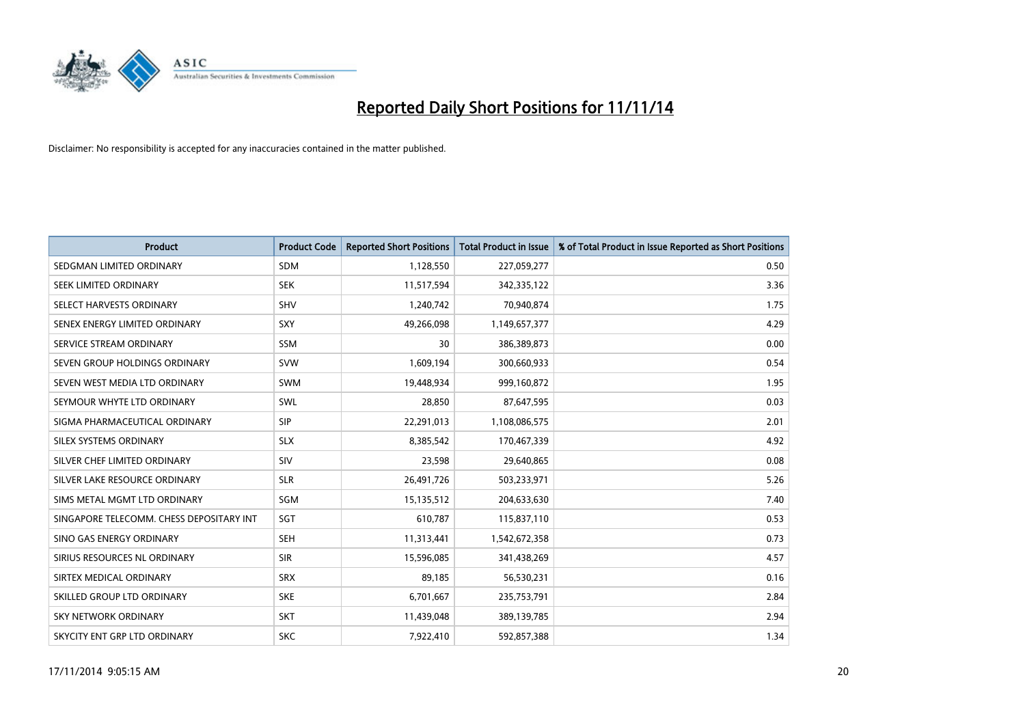

| <b>Product</b>                           | <b>Product Code</b> | <b>Reported Short Positions</b> | <b>Total Product in Issue</b> | % of Total Product in Issue Reported as Short Positions |
|------------------------------------------|---------------------|---------------------------------|-------------------------------|---------------------------------------------------------|
| SEDGMAN LIMITED ORDINARY                 | <b>SDM</b>          | 1,128,550                       | 227,059,277                   | 0.50                                                    |
| SEEK LIMITED ORDINARY                    | <b>SEK</b>          | 11,517,594                      | 342,335,122                   | 3.36                                                    |
| SELECT HARVESTS ORDINARY                 | <b>SHV</b>          | 1,240,742                       | 70,940,874                    | 1.75                                                    |
| SENEX ENERGY LIMITED ORDINARY            | <b>SXY</b>          | 49,266,098                      | 1,149,657,377                 | 4.29                                                    |
| SERVICE STREAM ORDINARY                  | <b>SSM</b>          | 30                              | 386,389,873                   | 0.00                                                    |
| SEVEN GROUP HOLDINGS ORDINARY            | <b>SVW</b>          | 1,609,194                       | 300,660,933                   | 0.54                                                    |
| SEVEN WEST MEDIA LTD ORDINARY            | SWM                 | 19,448,934                      | 999,160,872                   | 1.95                                                    |
| SEYMOUR WHYTE LTD ORDINARY               | SWL                 | 28,850                          | 87,647,595                    | 0.03                                                    |
| SIGMA PHARMACEUTICAL ORDINARY            | <b>SIP</b>          | 22,291,013                      | 1,108,086,575                 | 2.01                                                    |
| SILEX SYSTEMS ORDINARY                   | <b>SLX</b>          | 8,385,542                       | 170,467,339                   | 4.92                                                    |
| SILVER CHEF LIMITED ORDINARY             | <b>SIV</b>          | 23,598                          | 29,640,865                    | 0.08                                                    |
| SILVER LAKE RESOURCE ORDINARY            | <b>SLR</b>          | 26,491,726                      | 503,233,971                   | 5.26                                                    |
| SIMS METAL MGMT LTD ORDINARY             | SGM                 | 15,135,512                      | 204,633,630                   | 7.40                                                    |
| SINGAPORE TELECOMM. CHESS DEPOSITARY INT | SGT                 | 610,787                         | 115,837,110                   | 0.53                                                    |
| SINO GAS ENERGY ORDINARY                 | <b>SEH</b>          | 11,313,441                      | 1,542,672,358                 | 0.73                                                    |
| SIRIUS RESOURCES NL ORDINARY             | <b>SIR</b>          | 15,596,085                      | 341,438,269                   | 4.57                                                    |
| SIRTEX MEDICAL ORDINARY                  | <b>SRX</b>          | 89,185                          | 56,530,231                    | 0.16                                                    |
| SKILLED GROUP LTD ORDINARY               | <b>SKE</b>          | 6,701,667                       | 235,753,791                   | 2.84                                                    |
| <b>SKY NETWORK ORDINARY</b>              | <b>SKT</b>          | 11,439,048                      | 389,139,785                   | 2.94                                                    |
| SKYCITY ENT GRP LTD ORDINARY             | <b>SKC</b>          | 7,922,410                       | 592,857,388                   | 1.34                                                    |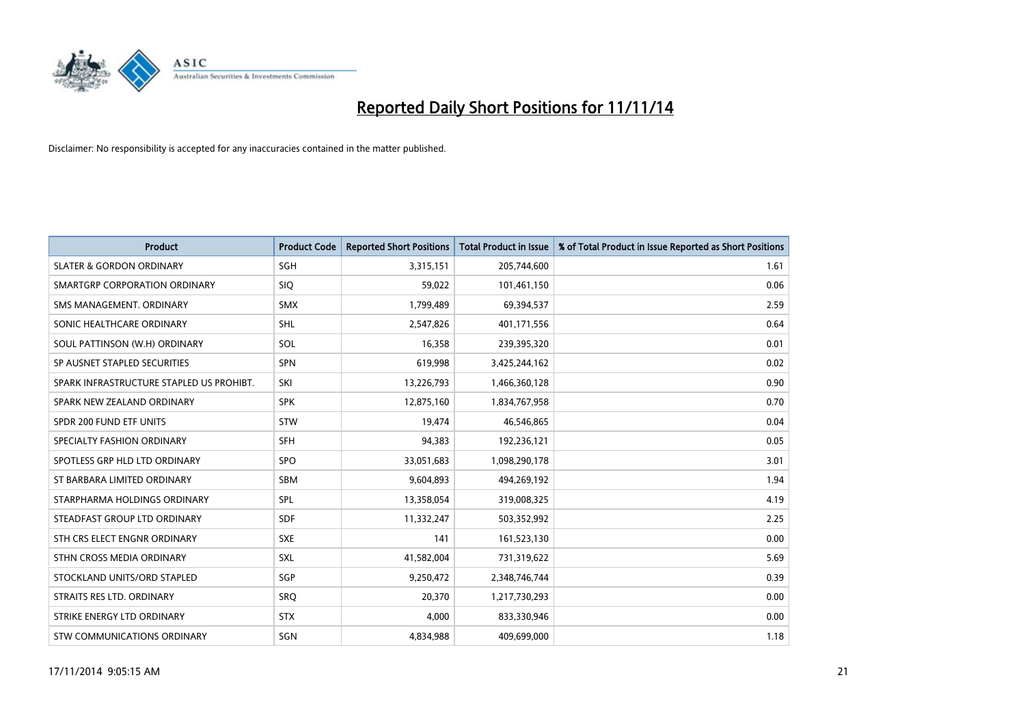

| <b>Product</b>                           | <b>Product Code</b> | <b>Reported Short Positions</b> | <b>Total Product in Issue</b> | % of Total Product in Issue Reported as Short Positions |
|------------------------------------------|---------------------|---------------------------------|-------------------------------|---------------------------------------------------------|
| <b>SLATER &amp; GORDON ORDINARY</b>      | SGH                 | 3,315,151                       | 205,744,600                   | 1.61                                                    |
| SMARTGRP CORPORATION ORDINARY            | <b>SIQ</b>          | 59,022                          | 101,461,150                   | 0.06                                                    |
| SMS MANAGEMENT, ORDINARY                 | <b>SMX</b>          | 1,799,489                       | 69,394,537                    | 2.59                                                    |
| SONIC HEALTHCARE ORDINARY                | SHL                 | 2,547,826                       | 401,171,556                   | 0.64                                                    |
| SOUL PATTINSON (W.H) ORDINARY            | SOL                 | 16,358                          | 239,395,320                   | 0.01                                                    |
| SP AUSNET STAPLED SECURITIES             | <b>SPN</b>          | 619,998                         | 3,425,244,162                 | 0.02                                                    |
| SPARK INFRASTRUCTURE STAPLED US PROHIBT. | SKI                 | 13,226,793                      | 1,466,360,128                 | 0.90                                                    |
| SPARK NEW ZEALAND ORDINARY               | <b>SPK</b>          | 12,875,160                      | 1,834,767,958                 | 0.70                                                    |
| SPDR 200 FUND ETF UNITS                  | <b>STW</b>          | 19,474                          | 46,546,865                    | 0.04                                                    |
| SPECIALTY FASHION ORDINARY               | SFH                 | 94,383                          | 192,236,121                   | 0.05                                                    |
| SPOTLESS GRP HLD LTD ORDINARY            | <b>SPO</b>          | 33,051,683                      | 1,098,290,178                 | 3.01                                                    |
| ST BARBARA LIMITED ORDINARY              | <b>SBM</b>          | 9,604,893                       | 494,269,192                   | 1.94                                                    |
| STARPHARMA HOLDINGS ORDINARY             | <b>SPL</b>          | 13,358,054                      | 319,008,325                   | 4.19                                                    |
| STEADFAST GROUP LTD ORDINARY             | SDF                 | 11,332,247                      | 503,352,992                   | 2.25                                                    |
| STH CRS ELECT ENGNR ORDINARY             | <b>SXE</b>          | 141                             | 161,523,130                   | 0.00                                                    |
| STHN CROSS MEDIA ORDINARY                | SXL                 | 41,582,004                      | 731,319,622                   | 5.69                                                    |
| STOCKLAND UNITS/ORD STAPLED              | SGP                 | 9,250,472                       | 2,348,746,744                 | 0.39                                                    |
| STRAITS RES LTD. ORDINARY                | SRQ                 | 20,370                          | 1,217,730,293                 | 0.00                                                    |
| STRIKE ENERGY LTD ORDINARY               | <b>STX</b>          | 4,000                           | 833,330,946                   | 0.00                                                    |
| STW COMMUNICATIONS ORDINARY              | SGN                 | 4,834,988                       | 409,699,000                   | 1.18                                                    |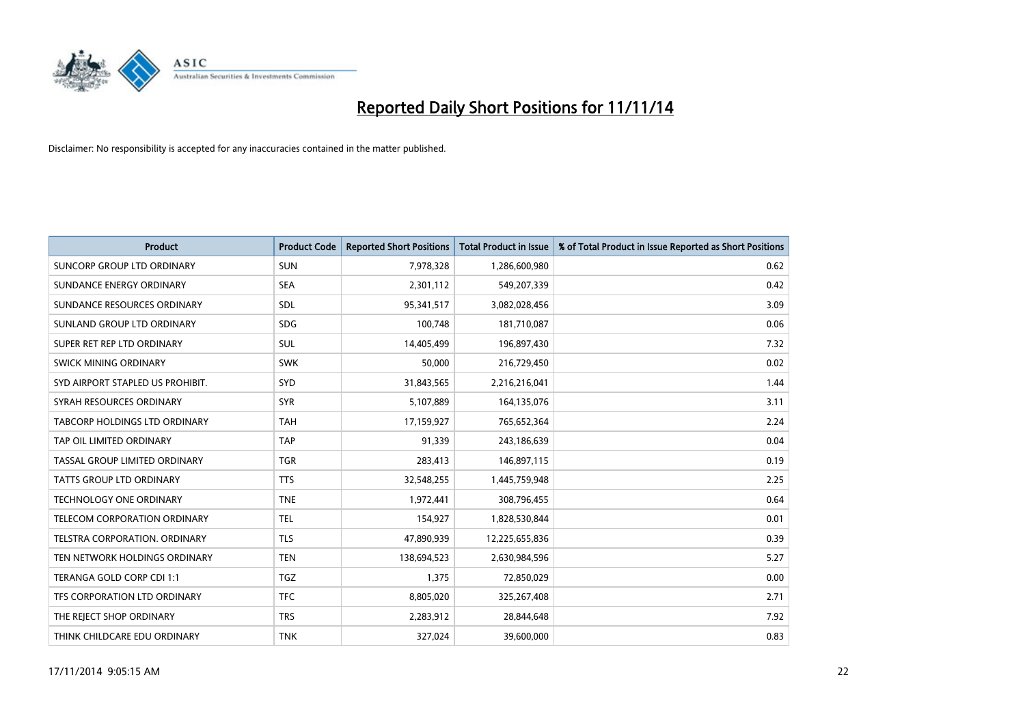

| <b>Product</b>                       | <b>Product Code</b> | <b>Reported Short Positions</b> | <b>Total Product in Issue</b> | % of Total Product in Issue Reported as Short Positions |
|--------------------------------------|---------------------|---------------------------------|-------------------------------|---------------------------------------------------------|
| SUNCORP GROUP LTD ORDINARY           | <b>SUN</b>          | 7,978,328                       | 1,286,600,980                 | 0.62                                                    |
| SUNDANCE ENERGY ORDINARY             | <b>SEA</b>          | 2,301,112                       | 549,207,339                   | 0.42                                                    |
| SUNDANCE RESOURCES ORDINARY          | <b>SDL</b>          | 95,341,517                      | 3,082,028,456                 | 3.09                                                    |
| SUNLAND GROUP LTD ORDINARY           | <b>SDG</b>          | 100,748                         | 181,710,087                   | 0.06                                                    |
| SUPER RET REP LTD ORDINARY           | <b>SUL</b>          | 14,405,499                      | 196,897,430                   | 7.32                                                    |
| <b>SWICK MINING ORDINARY</b>         | <b>SWK</b>          | 50,000                          | 216,729,450                   | 0.02                                                    |
| SYD AIRPORT STAPLED US PROHIBIT.     | <b>SYD</b>          | 31,843,565                      | 2,216,216,041                 | 1.44                                                    |
| SYRAH RESOURCES ORDINARY             | <b>SYR</b>          | 5,107,889                       | 164,135,076                   | 3.11                                                    |
| <b>TABCORP HOLDINGS LTD ORDINARY</b> | <b>TAH</b>          | 17,159,927                      | 765,652,364                   | 2.24                                                    |
| TAP OIL LIMITED ORDINARY             | <b>TAP</b>          | 91,339                          | 243,186,639                   | 0.04                                                    |
| TASSAL GROUP LIMITED ORDINARY        | <b>TGR</b>          | 283,413                         | 146,897,115                   | 0.19                                                    |
| <b>TATTS GROUP LTD ORDINARY</b>      | <b>TTS</b>          | 32,548,255                      | 1,445,759,948                 | 2.25                                                    |
| TECHNOLOGY ONE ORDINARY              | <b>TNE</b>          | 1,972,441                       | 308,796,455                   | 0.64                                                    |
| TELECOM CORPORATION ORDINARY         | TEL                 | 154,927                         | 1,828,530,844                 | 0.01                                                    |
| TELSTRA CORPORATION, ORDINARY        | <b>TLS</b>          | 47,890,939                      | 12,225,655,836                | 0.39                                                    |
| TEN NETWORK HOLDINGS ORDINARY        | <b>TEN</b>          | 138,694,523                     | 2,630,984,596                 | 5.27                                                    |
| TERANGA GOLD CORP CDI 1:1            | <b>TGZ</b>          | 1,375                           | 72,850,029                    | 0.00                                                    |
| TFS CORPORATION LTD ORDINARY         | <b>TFC</b>          | 8,805,020                       | 325,267,408                   | 2.71                                                    |
| THE REJECT SHOP ORDINARY             | <b>TRS</b>          | 2,283,912                       | 28,844,648                    | 7.92                                                    |
| THINK CHILDCARE EDU ORDINARY         | <b>TNK</b>          | 327,024                         | 39,600,000                    | 0.83                                                    |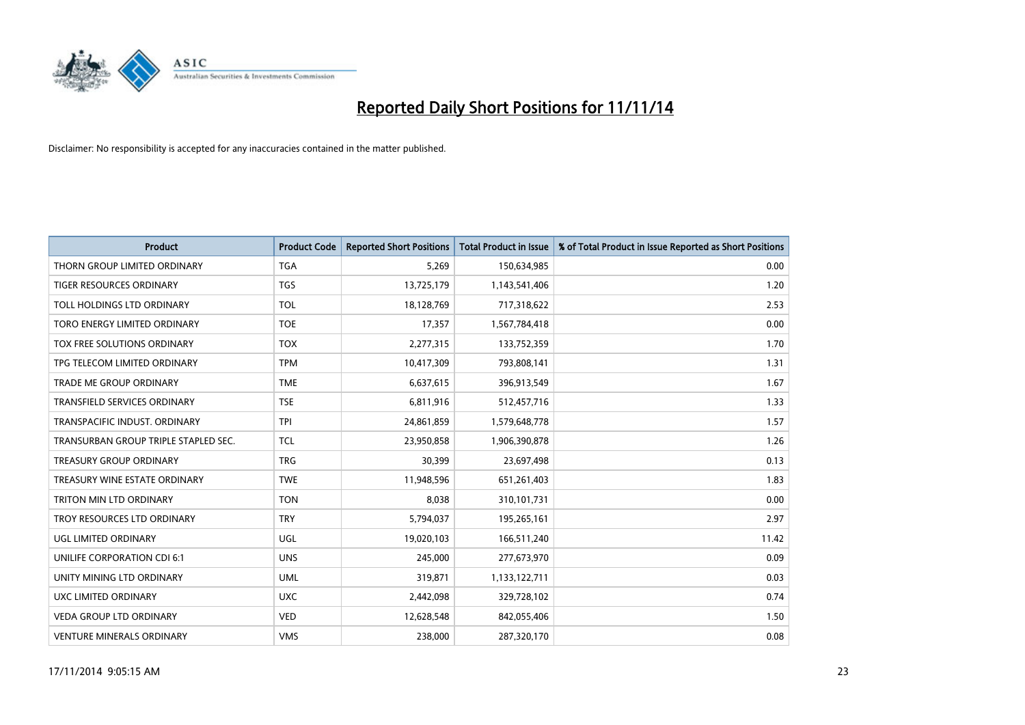

| <b>Product</b>                       | <b>Product Code</b> | <b>Reported Short Positions</b> | <b>Total Product in Issue</b> | % of Total Product in Issue Reported as Short Positions |
|--------------------------------------|---------------------|---------------------------------|-------------------------------|---------------------------------------------------------|
| THORN GROUP LIMITED ORDINARY         | <b>TGA</b>          | 5,269                           | 150,634,985                   | 0.00                                                    |
| TIGER RESOURCES ORDINARY             | <b>TGS</b>          | 13,725,179                      | 1,143,541,406                 | 1.20                                                    |
| TOLL HOLDINGS LTD ORDINARY           | <b>TOL</b>          | 18,128,769                      | 717,318,622                   | 2.53                                                    |
| TORO ENERGY LIMITED ORDINARY         | <b>TOE</b>          | 17,357                          | 1,567,784,418                 | 0.00                                                    |
| TOX FREE SOLUTIONS ORDINARY          | <b>TOX</b>          | 2,277,315                       | 133,752,359                   | 1.70                                                    |
| TPG TELECOM LIMITED ORDINARY         | <b>TPM</b>          | 10,417,309                      | 793,808,141                   | 1.31                                                    |
| TRADE ME GROUP ORDINARY              | <b>TME</b>          | 6,637,615                       | 396,913,549                   | 1.67                                                    |
| TRANSFIELD SERVICES ORDINARY         | <b>TSE</b>          | 6,811,916                       | 512,457,716                   | 1.33                                                    |
| TRANSPACIFIC INDUST, ORDINARY        | <b>TPI</b>          | 24,861,859                      | 1,579,648,778                 | 1.57                                                    |
| TRANSURBAN GROUP TRIPLE STAPLED SEC. | <b>TCL</b>          | 23,950,858                      | 1,906,390,878                 | 1.26                                                    |
| TREASURY GROUP ORDINARY              | <b>TRG</b>          | 30,399                          | 23,697,498                    | 0.13                                                    |
| TREASURY WINE ESTATE ORDINARY        | <b>TWE</b>          | 11,948,596                      | 651,261,403                   | 1.83                                                    |
| TRITON MIN LTD ORDINARY              | <b>TON</b>          | 8,038                           | 310,101,731                   | 0.00                                                    |
| TROY RESOURCES LTD ORDINARY          | <b>TRY</b>          | 5,794,037                       | 195,265,161                   | 2.97                                                    |
| UGL LIMITED ORDINARY                 | UGL                 | 19,020,103                      | 166,511,240                   | 11.42                                                   |
| UNILIFE CORPORATION CDI 6:1          | <b>UNS</b>          | 245,000                         | 277,673,970                   | 0.09                                                    |
| UNITY MINING LTD ORDINARY            | <b>UML</b>          | 319,871                         | 1,133,122,711                 | 0.03                                                    |
| UXC LIMITED ORDINARY                 | <b>UXC</b>          | 2,442,098                       | 329,728,102                   | 0.74                                                    |
| <b>VEDA GROUP LTD ORDINARY</b>       | <b>VED</b>          | 12,628,548                      | 842,055,406                   | 1.50                                                    |
| <b>VENTURE MINERALS ORDINARY</b>     | <b>VMS</b>          | 238,000                         | 287,320,170                   | 0.08                                                    |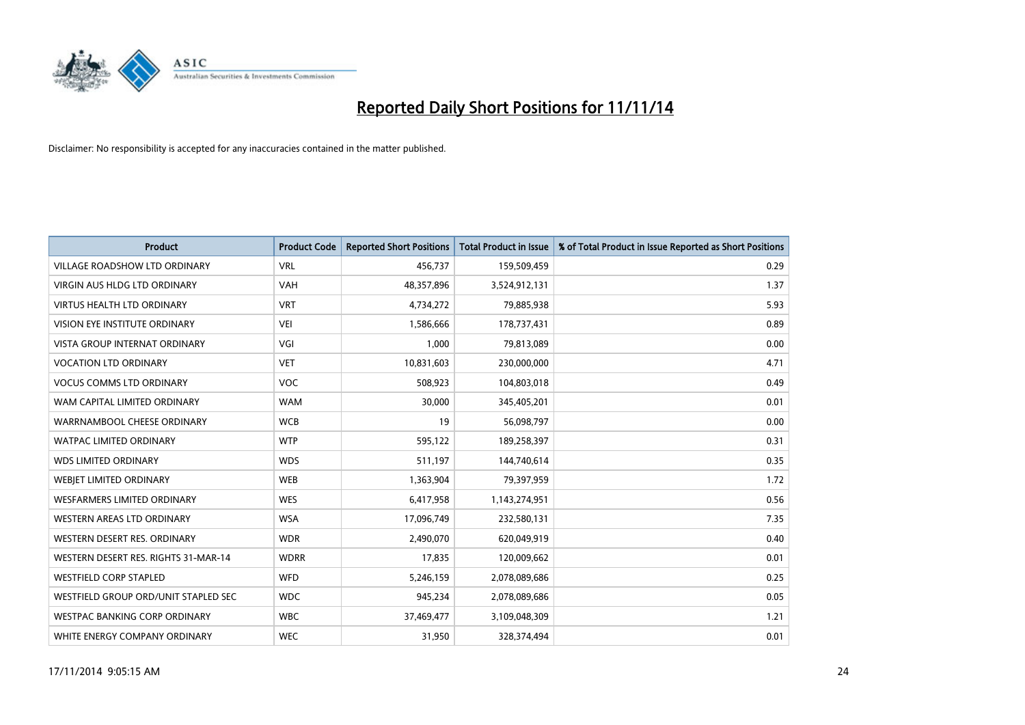

| <b>Product</b>                       | <b>Product Code</b> | <b>Reported Short Positions</b> | <b>Total Product in Issue</b> | % of Total Product in Issue Reported as Short Positions |
|--------------------------------------|---------------------|---------------------------------|-------------------------------|---------------------------------------------------------|
| <b>VILLAGE ROADSHOW LTD ORDINARY</b> | <b>VRL</b>          | 456,737                         | 159,509,459                   | 0.29                                                    |
| <b>VIRGIN AUS HLDG LTD ORDINARY</b>  | <b>VAH</b>          | 48,357,896                      | 3,524,912,131                 | 1.37                                                    |
| <b>VIRTUS HEALTH LTD ORDINARY</b>    | <b>VRT</b>          | 4,734,272                       | 79,885,938                    | 5.93                                                    |
| <b>VISION EYE INSTITUTE ORDINARY</b> | <b>VEI</b>          | 1,586,666                       | 178,737,431                   | 0.89                                                    |
| <b>VISTA GROUP INTERNAT ORDINARY</b> | VGI                 | 1,000                           | 79,813,089                    | 0.00                                                    |
| <b>VOCATION LTD ORDINARY</b>         | <b>VET</b>          | 10,831,603                      | 230,000,000                   | 4.71                                                    |
| <b>VOCUS COMMS LTD ORDINARY</b>      | VOC                 | 508,923                         | 104,803,018                   | 0.49                                                    |
| WAM CAPITAL LIMITED ORDINARY         | <b>WAM</b>          | 30,000                          | 345,405,201                   | 0.01                                                    |
| WARRNAMBOOL CHEESE ORDINARY          | <b>WCB</b>          | 19                              | 56,098,797                    | 0.00                                                    |
| <b>WATPAC LIMITED ORDINARY</b>       | <b>WTP</b>          | 595,122                         | 189,258,397                   | 0.31                                                    |
| <b>WDS LIMITED ORDINARY</b>          | <b>WDS</b>          | 511,197                         | 144,740,614                   | 0.35                                                    |
| WEBIET LIMITED ORDINARY              | <b>WEB</b>          | 1,363,904                       | 79,397,959                    | 1.72                                                    |
| <b>WESFARMERS LIMITED ORDINARY</b>   | <b>WES</b>          | 6,417,958                       | 1,143,274,951                 | 0.56                                                    |
| WESTERN AREAS LTD ORDINARY           | <b>WSA</b>          | 17,096,749                      | 232,580,131                   | 7.35                                                    |
| WESTERN DESERT RES. ORDINARY         | <b>WDR</b>          | 2,490,070                       | 620,049,919                   | 0.40                                                    |
| WESTERN DESERT RES. RIGHTS 31-MAR-14 | <b>WDRR</b>         | 17,835                          | 120,009,662                   | 0.01                                                    |
| <b>WESTFIELD CORP STAPLED</b>        | <b>WFD</b>          | 5,246,159                       | 2,078,089,686                 | 0.25                                                    |
| WESTFIELD GROUP ORD/UNIT STAPLED SEC | <b>WDC</b>          | 945,234                         | 2,078,089,686                 | 0.05                                                    |
| WESTPAC BANKING CORP ORDINARY        | <b>WBC</b>          | 37,469,477                      | 3,109,048,309                 | 1.21                                                    |
| WHITE ENERGY COMPANY ORDINARY        | <b>WEC</b>          | 31,950                          | 328,374,494                   | 0.01                                                    |